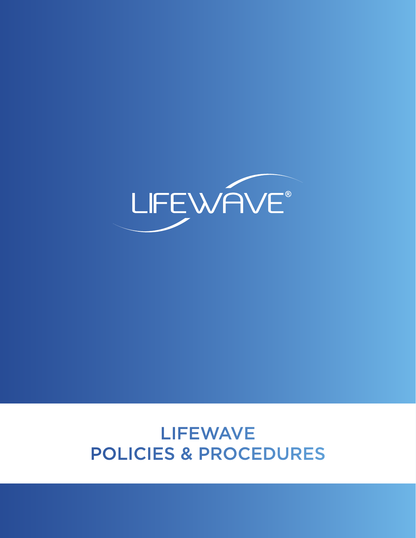# LIFEWAVE POLICIES & PROCEDURES

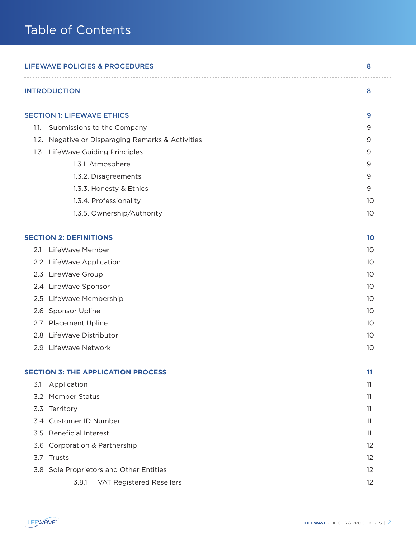| <b>LIFEWAVE POLICIES &amp; PROCEDURES</b><br>8    |    |  |
|---------------------------------------------------|----|--|
| <b>INTRODUCTION</b>                               | 8  |  |
| <b>SECTION 1: LIFEWAVE ETHICS</b>                 | 9  |  |
| Submissions to the Company<br>1.1.                | 9  |  |
| 1.2. Negative or Disparaging Remarks & Activities | 9  |  |
| 1.3. LifeWave Guiding Principles                  | 9  |  |
| 1.3.1. Atmosphere                                 | 9  |  |
| 1.3.2. Disagreements                              | 9  |  |
| 1.3.3. Honesty & Ethics                           | 9  |  |
| 1.3.4. Professionality                            | 10 |  |
| 1.3.5. Ownership/Authority                        | 10 |  |
| <b>SECTION 2: DEFINITIONS</b>                     | 10 |  |
| LifeWave Member<br>2.1                            | 10 |  |
| 2.2 LifeWave Application                          | 10 |  |
| LifeWave Group<br>2.3                             | 10 |  |
| 2.4 LifeWave Sponsor                              | 10 |  |
| LifeWave Membership<br>2.5                        | 10 |  |
| Sponsor Upline<br>2.6                             | 10 |  |
| Placement Upline<br>2.7                           | 10 |  |
| 2.8 LifeWave Distributor                          | 10 |  |
| 2.9 LifeWave Network                              | 10 |  |
| <b>SECTION 3: THE APPLICATION PROCESS</b>         | 11 |  |
| Application<br>3.1                                | 11 |  |
| <b>Member Status</b><br>3.2                       | 11 |  |
| Territory<br>3.3                                  | 11 |  |
| Customer ID Number<br>3.4                         | 11 |  |
| <b>Beneficial Interest</b><br>3.5                 | 11 |  |
| Corporation & Partnership<br>3.6                  | 12 |  |
| Trusts<br>3.7                                     | 12 |  |
| 3.8 Sole Proprietors and Other Entities           | 12 |  |
| 3.8.1<br>VAT Registered Resellers                 | 12 |  |

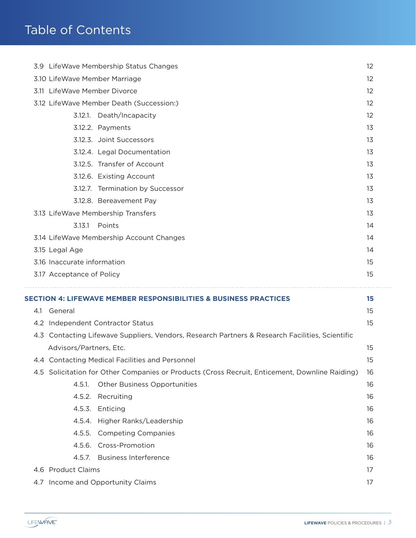|  |                               | 3.9 LifeWave Membership Status Changes                                                          | 12 |
|--|-------------------------------|-------------------------------------------------------------------------------------------------|----|
|  | 3.10 LifeWave Member Marriage |                                                                                                 | 12 |
|  | 3.11 LifeWave Member Divorce  |                                                                                                 | 12 |
|  |                               | 3.12 LifeWave Member Death (Succession:)                                                        | 12 |
|  |                               | 3.12.1. Death/Incapacity                                                                        | 12 |
|  |                               | 3.12.2. Payments                                                                                | 13 |
|  |                               | 3.12.3. Joint Successors                                                                        | 13 |
|  |                               | 3.12.4. Legal Documentation                                                                     | 13 |
|  |                               | 3.12.5. Transfer of Account                                                                     | 13 |
|  |                               | 3.12.6. Existing Account                                                                        | 13 |
|  |                               | 3.12.7. Termination by Successor                                                                | 13 |
|  |                               | 3.12.8. Bereavement Pay                                                                         | 13 |
|  |                               | 3.13 LifeWave Membership Transfers                                                              | 13 |
|  | 3.13.1                        | Points                                                                                          | 14 |
|  |                               | 3.14 LifeWave Membership Account Changes                                                        | 14 |
|  | 3.15 Legal Age                |                                                                                                 | 14 |
|  | 3.16 Inaccurate information   |                                                                                                 | 15 |
|  |                               |                                                                                                 |    |
|  | 3.17 Acceptance of Policy     |                                                                                                 | 15 |
|  |                               |                                                                                                 |    |
|  |                               | <b>SECTION 4: LIFEWAVE MEMBER RESPONSIBILITIES &amp; BUSINESS PRACTICES</b>                     | 15 |
|  | 4.1 General                   |                                                                                                 | 15 |
|  |                               | 4.2 Independent Contractor Status                                                               | 15 |
|  |                               | 4.3 Contacting Lifewave Suppliers, Vendors, Research Partners & Research Facilities, Scientific | 15 |
|  | Advisors/Partners, Etc.       | 4.4 Contacting Medical Facilities and Personnel                                                 | 15 |
|  |                               | 4.5 Solicitation for Other Companies or Products (Cross Recruit, Enticement, Downline Raiding)  | 16 |
|  | 4.5.1.                        | <b>Other Business Opportunities</b>                                                             | 16 |
|  | 4.5.2.                        | Recruiting                                                                                      | 16 |
|  | 4.5.3.                        | Enticing                                                                                        | 16 |
|  | 4.5.4.                        | Higher Ranks/Leadership                                                                         | 16 |
|  | 4.5.5.                        | <b>Competing Companies</b>                                                                      | 16 |
|  | 4.5.6.                        | Cross-Promotion                                                                                 | 16 |
|  | 4.5.7.                        | <b>Business Interference</b>                                                                    | 16 |
|  | 4.6 Product Claims            |                                                                                                 | 17 |

 $\overline{\phantom{a}}$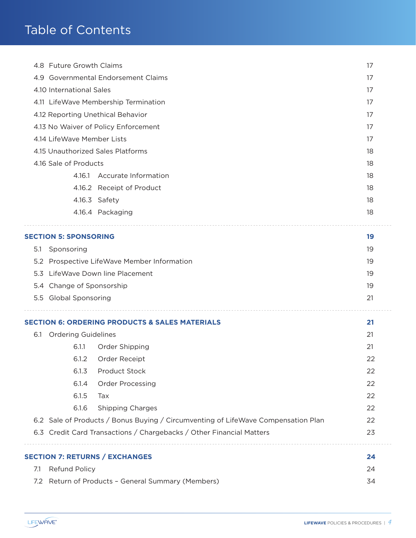| 4.8 Future Growth Claims |                                   |                                                                                   | 17 |
|--------------------------|-----------------------------------|-----------------------------------------------------------------------------------|----|
|                          |                                   | 4.9 Governmental Endorsement Claims                                               | 17 |
|                          | 4.10 International Sales          |                                                                                   | 17 |
|                          |                                   | 4.11 LifeWave Membership Termination                                              | 17 |
|                          | 4.12 Reporting Unethical Behavior |                                                                                   | 17 |
|                          |                                   | 4.13 No Waiver of Policy Enforcement                                              | 17 |
|                          | 4.14 LifeWave Member Lists        |                                                                                   | 17 |
|                          |                                   | 4.15 Unauthorized Sales Platforms                                                 | 18 |
|                          | 4.16 Sale of Products             |                                                                                   | 18 |
|                          | 4.16.1                            | <b>Accurate Information</b>                                                       | 18 |
|                          |                                   | 4.16.2 Receipt of Product                                                         | 18 |
|                          |                                   | 4.16.3 Safety                                                                     | 18 |
|                          |                                   | 4.16.4 Packaging                                                                  | 18 |
|                          | <b>SECTION 5: SPONSORING</b>      |                                                                                   | 19 |
| 5.1                      | Sponsoring                        |                                                                                   | 19 |
| 5.2                      |                                   | Prospective LifeWave Member Information                                           | 19 |
| 5.3                      |                                   | LifeWave Down line Placement                                                      | 19 |
|                          | 5.4 Change of Sponsorship         |                                                                                   | 19 |
|                          | 5.5 Global Sponsoring             |                                                                                   | 21 |
|                          |                                   | <b>SECTION 6: ORDERING PRODUCTS &amp; SALES MATERIALS</b>                         | 21 |
| 6.1                      | <b>Ordering Guidelines</b>        |                                                                                   | 21 |
|                          | 6.1.1                             | Order Shipping                                                                    | 21 |
|                          | 6.1.2                             | Order Receipt                                                                     | 22 |
|                          | 6.1.3                             | Product Stock                                                                     | 22 |
|                          | 6.1.4                             | <b>Order Processing</b>                                                           | 22 |
|                          | 6.1.5                             | Tax                                                                               | 22 |
|                          | 6.1.6                             | <b>Shipping Charges</b>                                                           | 22 |
|                          |                                   | 6.2 Sale of Products / Bonus Buying / Circumventing of LifeWave Compensation Plan | 22 |
|                          |                                   | 6.3 Credit Card Transactions / Chargebacks / Other Financial Matters              | 23 |
|                          |                                   | <b>SECTION 7: RETURNS / EXCHANGES</b>                                             | 24 |
| 7.1                      | Refund Policy                     |                                                                                   | 24 |
|                          |                                   | 7.2 Return of Products - General Summary (Members)                                | 34 |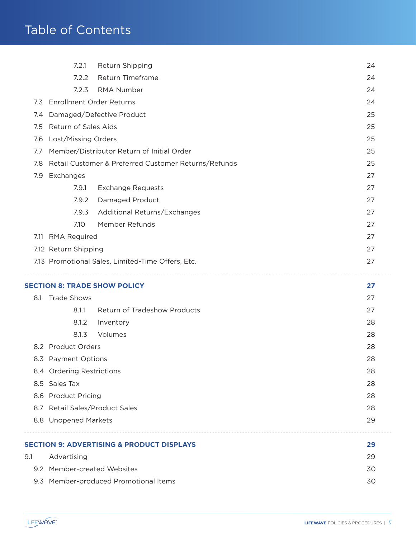|     | 7.2.1                           | Return Shipping                                      | 24 |
|-----|---------------------------------|------------------------------------------------------|----|
|     | 7.2.2                           | Return Timeframe                                     | 24 |
|     | 7.2.3                           | <b>RMA Number</b>                                    | 24 |
| 7.3 | <b>Enrollment Order Returns</b> |                                                      | 24 |
| 7.4 |                                 | Damaged/Defective Product                            | 25 |
| 7.5 | Return of Sales Aids            |                                                      | 25 |
| 7.6 | Lost/Missing Orders             |                                                      | 25 |
| 7.7 |                                 | Member/Distributor Return of Initial Order           | 25 |
| 7.8 |                                 | Retail Customer & Preferred Customer Returns/Refunds | 25 |
| 7.9 | Exchanges                       |                                                      | 27 |
|     | 7.9.1                           | <b>Exchange Requests</b>                             | 27 |
|     | 7.9.2                           | Damaged Product                                      | 27 |
|     | 7.9.3                           | Additional Returns/Exchanges                         | 27 |
|     | 7.10                            | Member Refunds                                       | 27 |
|     | 7.11 RMA Required               |                                                      | 27 |
|     | 7.12 Return Shipping            |                                                      | 27 |
|     |                                 | 7.13 Promotional Sales, Limited-Time Offers, Etc.    | 27 |
|     |                                 |                                                      |    |
|     |                                 | <b>SECTION 8: TRADE SHOW POLICY</b>                  | 27 |
| 8.1 | <b>Trade Shows</b>              |                                                      | 27 |
|     | 8.1.1                           | <b>Return of Tradeshow Products</b>                  | 27 |
|     | 8.1.2                           | Inventory                                            | 28 |
|     | 8.1.3                           | Volumes                                              | 28 |
|     | 8.2 Product Orders              |                                                      | 28 |
|     | 8.3 Payment Options             |                                                      | 28 |
|     | 8.4 Ordering Restrictions       |                                                      | 28 |
|     | 8.5 Sales Tax                   |                                                      | 28 |
|     | 8.6 Product Pricing             |                                                      | 28 |
|     | 8.7 Retail Sales/Product Sales  |                                                      | 28 |
|     | 8.8 Unopened Markets            |                                                      | 29 |
|     |                                 | <b>SECTION 9: ADVERTISING &amp; PRODUCT DISPLAYS</b> | 29 |
| 9.1 | Advertising                     |                                                      | 29 |
|     | 9.2 Member-created Websites     |                                                      | 30 |
|     |                                 | 9.3 Member-produced Promotional Items                | 30 |
|     |                                 |                                                      |    |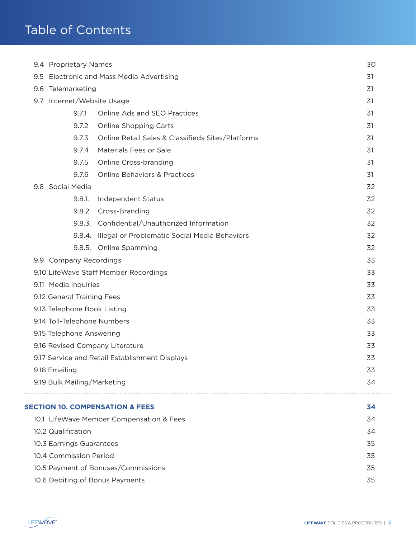| 9.4 Proprietary Names                        |                             |                                                      | 30 |
|----------------------------------------------|-----------------------------|------------------------------------------------------|----|
| Electronic and Mass Media Advertising<br>9.5 |                             |                                                      | 31 |
|                                              | 9.6 Telemarketing           |                                                      | 31 |
|                                              | 9.7 Internet/Website Usage  |                                                      | 31 |
|                                              | 9.7.1                       | Online Ads and SEO Practices                         | 31 |
|                                              | 9.7.2                       | <b>Online Shopping Carts</b>                         | 31 |
|                                              | 9.7.3                       | Online Retail Sales & Classifieds Sites/Platforms    | 31 |
|                                              | 9.7.4                       | Materials Fees or Sale                               | 31 |
|                                              | 9.7.5                       | Online Cross-branding                                | 31 |
|                                              | 9.7.6                       | <b>Online Behaviors &amp; Practices</b>              | 31 |
|                                              | 9.8 Social Media            |                                                      | 32 |
|                                              | 9.8.1.                      | Independent Status                                   | 32 |
|                                              |                             | 9.8.2. Cross-Branding                                | 32 |
|                                              |                             | 9.8.3. Confidential/Unauthorized Information         | 32 |
|                                              |                             | 9.8.4. Illegal or Problematic Social Media Behaviors | 32 |
|                                              |                             | 9.8.5. Online Spamming                               | 32 |
|                                              | 9.9 Company Recordings      |                                                      | 33 |
|                                              |                             | 9.10 LifeWave Staff Member Recordings                | 33 |
|                                              | 9.11 Media Inquiries        |                                                      | 33 |
|                                              | 9.12 General Training Fees  |                                                      | 33 |
|                                              | 9.13 Telephone Book Listing |                                                      | 33 |
|                                              | 9.14 Toll-Telephone Numbers |                                                      | 33 |
|                                              | 9.15 Telephone Answering    |                                                      | 33 |
|                                              |                             | 9.16 Revised Company Literature                      | 33 |
|                                              |                             | 9.17 Service and Retail Establishment Displays       | 33 |
|                                              | 9.18 Emailing               |                                                      | 33 |
|                                              | 9.19 Bulk Mailing/Marketing |                                                      | 34 |
|                                              |                             | <b>SECTION 10. COMPENSATION &amp; FEES</b>           | 34 |
|                                              |                             | 10.1 LifeWave Member Compensation & Fees             | 34 |
|                                              | 10.2 Qualification          |                                                      | 34 |
|                                              | 10.3 Earnings Guarantees    |                                                      | 35 |
|                                              | 10.4 Commission Period      |                                                      | 35 |
|                                              |                             | 10.5 Payment of Bonuses/Commissions                  | 35 |
|                                              |                             | 10.6 Debiting of Bonus Payments                      | 35 |
|                                              |                             |                                                      |    |

 $\sim$   $-$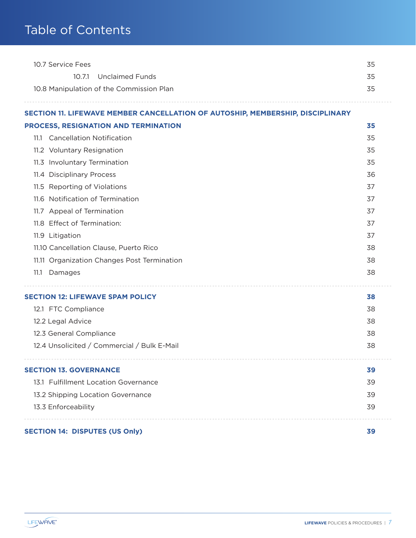| 10.7 Service Fees                                                              | 35 |
|--------------------------------------------------------------------------------|----|
| 10.7.1<br><b>Unclaimed Funds</b>                                               | 35 |
| 10.8 Manipulation of the Commission Plan                                       | 35 |
| SECTION 11. LIFEWAVE MEMBER CANCELLATION OF AUTOSHIP, MEMBERSHIP, DISCIPLINARY |    |
| PROCESS, RESIGNATION AND TERMINATION                                           | 35 |
| <b>Cancellation Notification</b><br>11.1                                       | 35 |
| 11.2 Voluntary Resignation                                                     | 35 |
| 11.3 Involuntary Termination                                                   | 35 |
| 11.4 Disciplinary Process                                                      | 36 |
| 11.5 Reporting of Violations                                                   | 37 |
| 11.6 Notification of Termination                                               | 37 |
| 11.7 Appeal of Termination                                                     | 37 |
| 11.8 Effect of Termination:                                                    | 37 |
| 11.9 Litigation                                                                | 37 |
| 11.10 Cancellation Clause, Puerto Rico                                         | 38 |
| 11.11 Organization Changes Post Termination                                    | 38 |
| 11.1<br>Damages                                                                | 38 |
| <b>SECTION 12: LIFEWAVE SPAM POLICY</b>                                        | 38 |
| 12.1 FTC Compliance                                                            | 38 |
| 12.2 Legal Advice                                                              | 38 |
| 12.3 General Compliance                                                        | 38 |
| 12.4 Unsolicited / Commercial / Bulk E-Mail                                    | 38 |
| <b>SECTION 13. GOVERNANCE</b>                                                  | 39 |
| 13.1 Fulfillment Location Governance                                           | 39 |
| 13.2 Shipping Location Governance                                              | 39 |
| 13.3 Enforceability                                                            | 39 |
| <b>SECTION 14: DISPUTES (US Only)</b>                                          | 39 |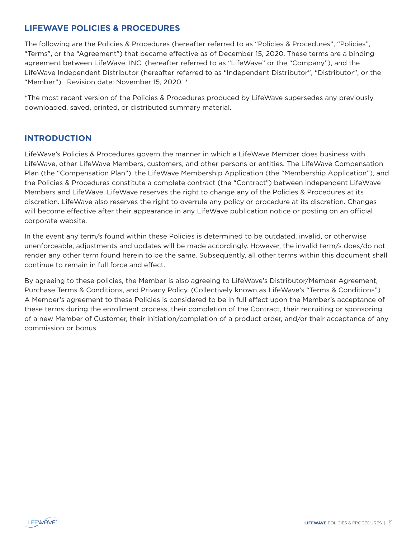### **LIFEWAVE POLICIES & PROCEDURES**

The following are the Policies & Procedures (hereafter referred to as "Policies & Procedures", "Policies", "Terms", or the "Agreement") that became effective as of December 15, 2020. These terms are a binding agreement between LifeWave, INC. (hereafter referred to as "LifeWave" or the "Company"), and the LifeWave Independent Distributor (hereafter referred to as "Independent Distributor", "Distributor", or the "Member"). Revision date: November 15, 2020. \*

\*The most recent version of the Policies & Procedures produced by LifeWave supersedes any previously downloaded, saved, printed, or distributed summary material.

### **INTRODUCTION**

LifeWave's Policies & Procedures govern the manner in which a LifeWave Member does business with LifeWave, other LifeWave Members, customers, and other persons or entities. The LifeWave Compensation Plan (the "Compensation Plan"), the LifeWave Membership Application (the "Membership Application"), and the Policies & Procedures constitute a complete contract (the "Contract") between independent LifeWave Members and LifeWave. LifeWave reserves the right to change any of the Policies & Procedures at its discretion. LifeWave also reserves the right to overrule any policy or procedure at its discretion. Changes will become effective after their appearance in any LifeWave publication notice or posting on an official corporate website.

In the event any term/s found within these Policies is determined to be outdated, invalid, or otherwise unenforceable, adjustments and updates will be made accordingly. However, the invalid term/s does/do not render any other term found herein to be the same. Subsequently, all other terms within this document shall continue to remain in full force and effect.

By agreeing to these policies, the Member is also agreeing to LifeWave's Distributor/Member Agreement, Purchase Terms & Conditions, and Privacy Policy. (Collectively known as LifeWave's "Terms & Conditions") A Member's agreement to these Policies is considered to be in full effect upon the Member's acceptance of these terms during the enrollment process, their completion of the Contract, their recruiting or sponsoring of a new Member of Customer, their initiation/completion of a product order, and/or their acceptance of any commission or bonus.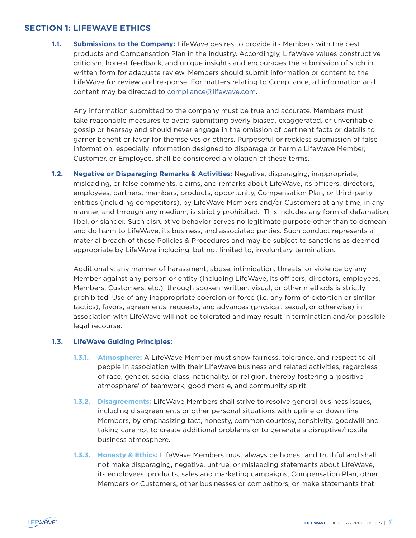#### **SECTION 1: LIFEWAVE ETHICS**

**1.1. Submissions to the Company:** LifeWave desires to provide its Members with the best products and Compensation Plan in the industry. Accordingly, LifeWave values constructive criticism, honest feedback, and unique insights and encourages the submission of such in written form for adequate review. Members should submit information or content to the LifeWave for review and response. For matters relating to Compliance, all information and content may be directed to compliance@lifewave.com.

Any information submitted to the company must be true and accurate. Members must take reasonable measures to avoid submitting overly biased, exaggerated, or unverifiable gossip or hearsay and should never engage in the omission of pertinent facts or details to garner benefit or favor for themselves or others. Purposeful or reckless submission of false information, especially information designed to disparage or harm a LifeWave Member, Customer, or Employee, shall be considered a violation of these terms.

**1.2. Negative or Disparaging Remarks & Activities:** Negative, disparaging, inappropriate, misleading, or false comments, claims, and remarks about LifeWave, its officers, directors, employees, partners, members, products, opportunity, Compensation Plan, or third-party entities (including competitors), by LifeWave Members and/or Customers at any time, in any manner, and through any medium, is strictly prohibited. This includes any form of defamation, libel, or slander. Such disruptive behavior serves no legitimate purpose other than to demean and do harm to LifeWave, its business, and associated parties. Such conduct represents a material breach of these Policies & Procedures and may be subject to sanctions as deemed appropriate by LifeWave including, but not limited to, involuntary termination.

Additionally, any manner of harassment, abuse, intimidation, threats, or violence by any Member against any person or entity (including LifeWave, its officers, directors, employees, Members, Customers, etc.) through spoken, written, visual, or other methods is strictly prohibited. Use of any inappropriate coercion or force (i.e. any form of extortion or similar tactics), favors, agreements, requests, and advances (physical, sexual, or otherwise) in association with LifeWave will not be tolerated and may result in termination and/or possible legal recourse.

#### **1.3. LifeWave Guiding Principles:**

- **1.3.1. Atmosphere:** A LifeWave Member must show fairness, tolerance, and respect to all people in association with their LifeWave business and related activities, regardless of race, gender, social class, nationality, or religion, thereby fostering a 'positive atmosphere' of teamwork, good morale, and community spirit.
- **1.3.2. Disagreements:** LifeWave Members shall strive to resolve general business issues, including disagreements or other personal situations with upline or down-line Members, by emphasizing tact, honesty, common courtesy, sensitivity, goodwill and taking care not to create additional problems or to generate a disruptive/hostile business atmosphere.
- **1.3.3. Honesty & Ethics:** LifeWave Members must always be honest and truthful and shall not make disparaging, negative, untrue, or misleading statements about LifeWave, its employees, products, sales and marketing campaigns, Compensation Plan, other Members or Customers, other businesses or competitors, or make statements that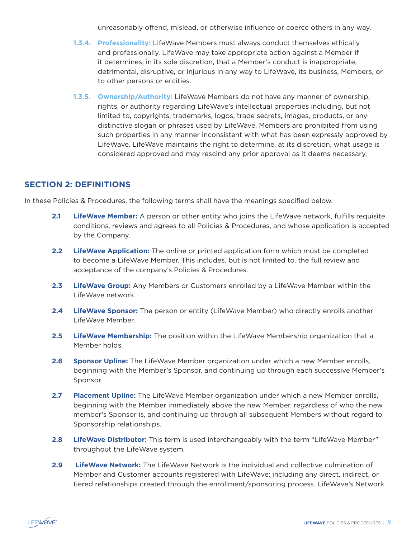unreasonably offend, mislead, or otherwise influence or coerce others in any way.

- **1.3.4. Professionality:** LifeWave Members must always conduct themselves ethically and professionally. LifeWave may take appropriate action against a Member if it determines, in its sole discretion, that a Member's conduct is inappropriate, detrimental, disruptive, or injurious in any way to LifeWave, its business, Members, or to other persons or entities.
- **1.3.5. Ownership/Authority:** LifeWave Members do not have any manner of ownership, rights, or authority regarding LifeWave's intellectual properties including, but not limited to, copyrights, trademarks, logos, trade secrets, images, products, or any distinctive slogan or phrases used by LifeWave. Members are prohibited from using such properties in any manner inconsistent with what has been expressly approved by LifeWave. LifeWave maintains the right to determine, at its discretion, what usage is considered approved and may rescind any prior approval as it deems necessary.

### **SECTION 2: DEFINITIONS**

In these Policies & Procedures, the following terms shall have the meanings specified below.

- **2.1 LifeWave Member:** A person or other entity who joins the LifeWave network, fulfills requisite conditions, reviews and agrees to all Policies & Procedures, and whose application is accepted by the Company.
- **2.2 LifeWave Application:** The online or printed application form which must be completed to become a LifeWave Member. This includes, but is not limited to, the full review and acceptance of the company's Policies & Procedures.
- **2.3 LifeWave Group:** Any Members or Customers enrolled by a LifeWave Member within the LifeWave network.
- **2.4 LifeWave Sponsor:** The person or entity (LifeWave Member) who directly enrolls another LifeWave Member.
- **2.5 LifeWave Membership:** The position within the LifeWave Membership organization that a Member holds.
- **2.6 Sponsor Upline:** The LifeWave Member organization under which a new Member enrolls, beginning with the Member's Sponsor, and continuing up through each successive Member's Sponsor.
- **2.7 Placement Upline:** The LifeWave Member organization under which a new Member enrolls, beginning with the Member immediately above the new Member, regardless of who the new member's Sponsor is, and continuing up through all subsequent Members without regard to Sponsorship relationships.
- **2.8 LifeWave Distributor:** This term is used interchangeably with the term "LifeWave Member" throughout the LifeWave system.
- **2.9 LifeWave Network:** The LifeWave Network is the individual and collective culmination of Member and Customer accounts registered with LifeWave; including any direct, indirect, or tiered relationships created through the enrollment/sponsoring process. LifeWave's Network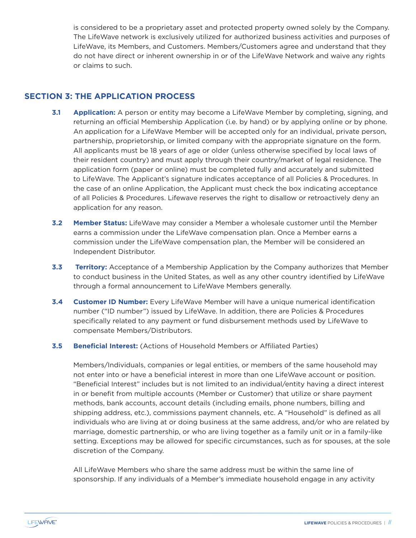is considered to be a proprietary asset and protected property owned solely by the Company. The LifeWave network is exclusively utilized for authorized business activities and purposes of LifeWave, its Members, and Customers. Members/Customers agree and understand that they do not have direct or inherent ownership in or of the LifeWave Network and waive any rights or claims to such.

### **SECTION 3: THE APPLICATION PROCESS**

- **3.1 Application:** A person or entity may become a LifeWave Member by completing, signing, and returning an official Membership Application (i.e. by hand) or by applying online or by phone. An application for a LifeWave Member will be accepted only for an individual, private person, partnership, proprietorship, or limited company with the appropriate signature on the form. All applicants must be 18 years of age or older (unless otherwise specified by local laws of their resident country) and must apply through their country/market of legal residence. The application form (paper or online) must be completed fully and accurately and submitted to LifeWave. The Applicant's signature indicates acceptance of all Policies & Procedures. In the case of an online Application, the Applicant must check the box indicating acceptance of all Policies & Procedures. Lifewave reserves the right to disallow or retroactively deny an application for any reason.
- **3.2 Member Status:** LifeWave may consider a Member a wholesale customer until the Member earns a commission under the LifeWave compensation plan. Once a Member earns a commission under the LifeWave compensation plan, the Member will be considered an Independent Distributor.
- **3.3 Territory:** Acceptance of a Membership Application by the Company authorizes that Member to conduct business in the United States, as well as any other country identified by LifeWave through a formal announcement to LifeWave Members generally.
- **3.4 Customer ID Number:** Every LifeWave Member will have a unique numerical identification number ("ID number") issued by LifeWave. In addition, there are Policies & Procedures specifically related to any payment or fund disbursement methods used by LifeWave to compensate Members/Distributors.
- **3.5 Beneficial Interest:** (Actions of Household Members or Affiliated Parties)

Members/Individuals, companies or legal entities, or members of the same household may not enter into or have a beneficial interest in more than one LifeWave account or position. "Beneficial Interest" includes but is not limited to an individual/entity having a direct interest in or benefit from multiple accounts (Member or Customer) that utilize or share payment methods, bank accounts, account details (including emails, phone numbers, billing and shipping address, etc.), commissions payment channels, etc. A "Household" is defined as all individuals who are living at or doing business at the same address, and/or who are related by marriage, domestic partnership, or who are living together as a family unit or in a family-like setting. Exceptions may be allowed for specific circumstances, such as for spouses, at the sole discretion of the Company.

All LifeWave Members who share the same address must be within the same line of sponsorship. If any individuals of a Member's immediate household engage in any activity

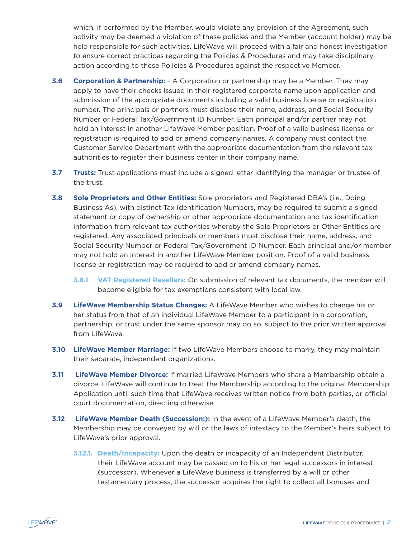which, if performed by the Member, would violate any provision of the Agreement, such activity may be deemed a violation of these policies and the Member (account holder) may be held responsible for such activities. LifeWave will proceed with a fair and honest investigation to ensure correct practices regarding the Policies & Procedures and may take disciplinary action according to these Policies & Procedures against the respective Member.

- **3.6 Corporation & Partnership:** A Corporation or partnership may be a Member. They may apply to have their checks issued in their registered corporate name upon application and submission of the appropriate documents including a valid business license or registration number. The principals or partners must disclose their name, address, and Social Security Number or Federal Tax/Government ID Number. Each principal and/or partner may not hold an interest in another LifeWave Member position. Proof of a valid business license or registration is required to add or amend company names. A company must contact the Customer Service Department with the appropriate documentation from the relevant tax authorities to register their business center in their company name.
- **3.7 Trusts:** Trust applications must include a signed letter identifying the manager or trustee of the trust.
- **3.8 Sole Proprietors and Other Entities:** Sole proprietors and Registered DBA's (i.e., Doing Business As), with distinct Tax Identification Numbers, may be required to submit a signed statement or copy of ownership or other appropriate documentation and tax identification information from relevant tax authorities whereby the Sole Proprietors or Other Entities are registered. Any associated principals or members must disclose their name, address, and Social Security Number or Federal Tax/Government ID Number. Each principal and/or member may not hold an interest in another LifeWave Member position. Proof of a valid business license or registration may be required to add or amend company names.
	- **3.8.1 VAT Registered Resellers:** On submission of relevant tax documents, the member will become eligible for tax exemptions consistent with local law.
- **3.9 LifeWave Membership Status Changes:** A LifeWave Member who wishes to change his or her status from that of an individual LifeWave Member to a participant in a corporation, partnership, or trust under the same sponsor may do so, subject to the prior written approval from LifeWave.
- **3.10 LifeWave Member Marriage:** If two LifeWave Members choose to marry, they may maintain their separate, independent organizations.
- **3.11 LifeWave Member Divorce:** If married LifeWave Members who share a Membership obtain a divorce, LifeWave will continue to treat the Membership according to the original Membership Application until such time that LifeWave receives written notice from both parties, or official court documentation, directing otherwise.
- **3.12 LifeWave Member Death (Succession:):** In the event of a LifeWave Member's death, the Membership may be conveyed by will or the laws of intestacy to the Member's heirs subject to LifeWave's prior approval.
	- **3.12.1. Death/Incapacity:** Upon the death or incapacity of an Independent Distributor, their LifeWave account may be passed on to his or her legal successors in interest (successor). Whenever a LifeWave business is transferred by a will or other testamentary process, the successor acquires the right to collect all bonuses and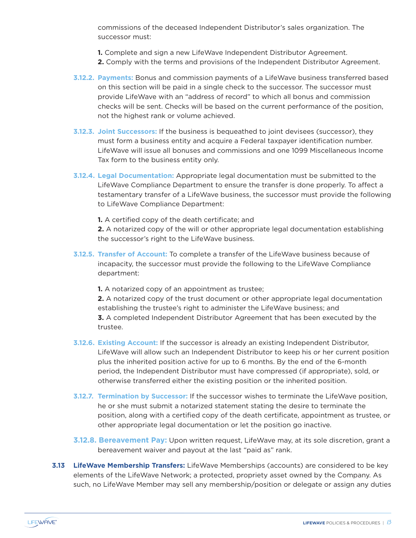commissions of the deceased Independent Distributor's sales organization. The successor must:

- **1.** Complete and sign a new LifeWave Independent Distributor Agreement.
- **2.** Comply with the terms and provisions of the Independent Distributor Agreement.
- **3.12.2. Payments:** Bonus and commission payments of a LifeWave business transferred based on this section will be paid in a single check to the successor. The successor must provide LifeWave with an "address of record" to which all bonus and commission checks will be sent. Checks will be based on the current performance of the position, not the highest rank or volume achieved.
- **3.12.3. Joint Successors:** If the business is bequeathed to joint devisees (successor), they must form a business entity and acquire a Federal taxpayer identification number. LifeWave will issue all bonuses and commissions and one 1099 Miscellaneous Income Tax form to the business entity only.
- **3.12.4. Legal Documentation:** Appropriate legal documentation must be submitted to the LifeWave Compliance Department to ensure the transfer is done properly. To affect a testamentary transfer of a LifeWave business, the successor must provide the following to LifeWave Compliance Department:

**1.** A certified copy of the death certificate; and

**2.** A notarized copy of the will or other appropriate legal documentation establishing the successor's right to the LifeWave business.

**3.12.5. Transfer of Account:** To complete a transfer of the LifeWave business because of incapacity, the successor must provide the following to the LifeWave Compliance department:

**1.** A notarized copy of an appointment as trustee;

**2.** A notarized copy of the trust document or other appropriate legal documentation establishing the trustee's right to administer the LifeWave business; and **3.** A completed Independent Distributor Agreement that has been executed by the trustee.

- **3.12.6. Existing Account:** If the successor is already an existing Independent Distributor, LifeWave will allow such an Independent Distributor to keep his or her current position plus the inherited position active for up to 6 months. By the end of the 6-month period, the Independent Distributor must have compressed (if appropriate), sold, or otherwise transferred either the existing position or the inherited position.
- **3.12.7. Termination by Successor:** If the successor wishes to terminate the LifeWave position, he or she must submit a notarized statement stating the desire to terminate the position, along with a certified copy of the death certificate, appointment as trustee, or other appropriate legal documentation or let the position go inactive.
- **3.12.8. Bereavement Pay:** Upon written request, LifeWave may, at its sole discretion, grant a bereavement waiver and payout at the last "paid as" rank.
- **3.13 LifeWave Membership Transfers:** LifeWave Memberships (accounts) are considered to be key elements of the LifeWave Network; a protected, propriety asset owned by the Company. As such, no LifeWave Member may sell any membership/position or delegate or assign any duties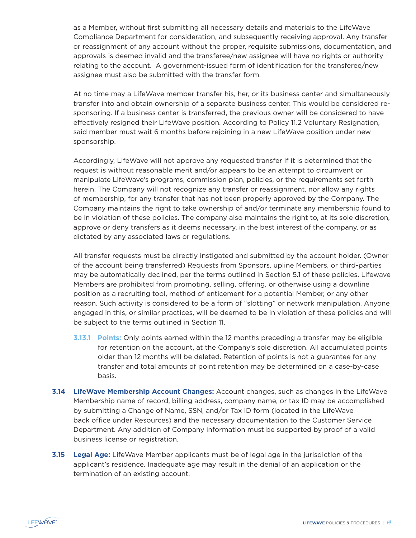as a Member, without first submitting all necessary details and materials to the LifeWave Compliance Department for consideration, and subsequently receiving approval. Any transfer or reassignment of any account without the proper, requisite submissions, documentation, and approvals is deemed invalid and the transferee/new assignee will have no rights or authority relating to the account. A government-issued form of identification for the transferee/new assignee must also be submitted with the transfer form.

At no time may a LifeWave member transfer his, her, or its business center and simultaneously transfer into and obtain ownership of a separate business center. This would be considered responsoring. If a business center is transferred, the previous owner will be considered to have effectively resigned their LifeWave position. According to Policy 11.2 Voluntary Resignation, said member must wait 6 months before rejoining in a new LifeWave position under new sponsorship.

Accordingly, LifeWave will not approve any requested transfer if it is determined that the request is without reasonable merit and/or appears to be an attempt to circumvent or manipulate LifeWave's programs, commission plan, policies, or the requirements set forth herein. The Company will not recognize any transfer or reassignment, nor allow any rights of membership, for any transfer that has not been properly approved by the Company. The Company maintains the right to take ownership of and/or terminate any membership found to be in violation of these policies. The company also maintains the right to, at its sole discretion, approve or deny transfers as it deems necessary, in the best interest of the company, or as dictated by any associated laws or regulations.

All transfer requests must be directly instigated and submitted by the account holder. (Owner of the account being transferred) Requests from Sponsors, upline Members, or third-parties may be automatically declined, per the terms outlined in Section 5.1 of these policies. Lifewave Members are prohibited from promoting, selling, offering, or otherwise using a downline position as a recruiting tool, method of enticement for a potential Member, or any other reason. Such activity is considered to be a form of "slotting" or network manipulation. Anyone engaged in this, or similar practices, will be deemed to be in violation of these policies and will be subject to the terms outlined in Section 11.

- **3.13.1 Points:** Only points earned within the 12 months preceding a transfer may be eligible for retention on the account, at the Company's sole discretion. All accumulated points older than 12 months will be deleted. Retention of points is not a guarantee for any transfer and total amounts of point retention may be determined on a case-by-case basis.
- **3.14 LifeWave Membership Account Changes:** Account changes, such as changes in the LifeWave Membership name of record, billing address, company name, or tax ID may be accomplished by submitting a Change of Name, SSN, and/or Tax ID form (located in the LifeWave back office under Resources) and the necessary documentation to the Customer Service Department. Any addition of Company information must be supported by proof of a valid business license or registration.
- **3.15 Legal Age:** LifeWave Member applicants must be of legal age in the jurisdiction of the applicant's residence. Inadequate age may result in the denial of an application or the termination of an existing account.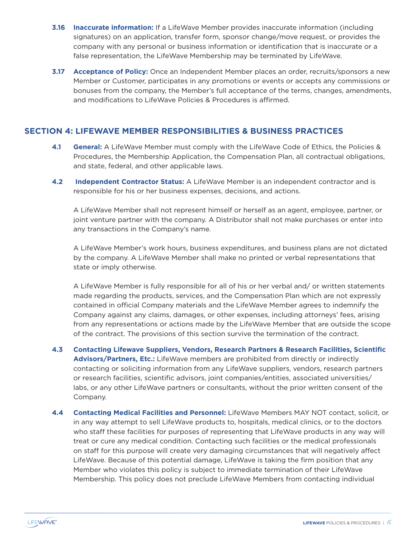- **3.16 Inaccurate information:** If a LifeWave Member provides inaccurate information (including signatures) on an application, transfer form, sponsor change/move request, or provides the company with any personal or business information or identification that is inaccurate or a false representation, the LifeWave Membership may be terminated by LifeWave.
- **3.17 Acceptance of Policy:** Once an Independent Member places an order, recruits/sponsors a new Member or Customer, participates in any promotions or events or accepts any commissions or bonuses from the company, the Member's full acceptance of the terms, changes, amendments, and modifications to LifeWave Policies & Procedures is affirmed.

### **SECTION 4: LIFEWAVE MEMBER RESPONSIBILITIES & BUSINESS PRACTICES**

- **4.1 General:** A LifeWave Member must comply with the LifeWave Code of Ethics, the Policies & Procedures, the Membership Application, the Compensation Plan, all contractual obligations, and state, federal, and other applicable laws.
- **4.2 Independent Contractor Status:** A LifeWave Member is an independent contractor and is responsible for his or her business expenses, decisions, and actions.

A LifeWave Member shall not represent himself or herself as an agent, employee, partner, or joint venture partner with the company. A Distributor shall not make purchases or enter into any transactions in the Company's name.

A LifeWave Member's work hours, business expenditures, and business plans are not dictated by the company. A LifeWave Member shall make no printed or verbal representations that state or imply otherwise.

A LifeWave Member is fully responsible for all of his or her verbal and/ or written statements made regarding the products, services, and the Compensation Plan which are not expressly contained in official Company materials and the LifeWave Member agrees to indemnify the Company against any claims, damages, or other expenses, including attorneys' fees, arising from any representations or actions made by the LifeWave Member that are outside the scope of the contract. The provisions of this section survive the termination of the contract.

- **4.3 Contacting Lifewave Suppliers, Vendors, Research Partners & Research Facilities, Scientific Advisors/Partners, Etc.:** LifeWave members are prohibited from directly or indirectly contacting or soliciting information from any LifeWave suppliers, vendors, research partners or research facilities, scientific advisors, joint companies/entities, associated universities/ labs, or any other LifeWave partners or consultants, without the prior written consent of the Company.
- **4.4 Contacting Medical Facilities and Personnel:** LifeWave Members MAY NOT contact, solicit, or in any way attempt to sell LifeWave products to, hospitals, medical clinics, or to the doctors who staff these facilities for purposes of representing that LifeWave products in any way will treat or cure any medical condition. Contacting such facilities or the medical professionals on staff for this purpose will create very damaging circumstances that will negatively affect LifeWave. Because of this potential damage, LifeWave is taking the firm position that any Member who violates this policy is subject to immediate termination of their LifeWave Membership. This policy does not preclude LifeWave Members from contacting individual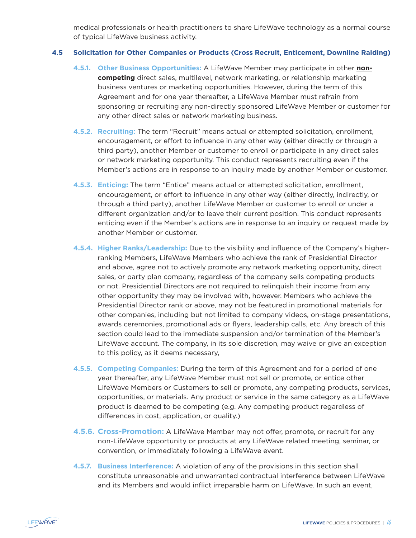medical professionals or health practitioners to share LifeWave technology as a normal course of typical LifeWave business activity.

#### **4.5 Solicitation for Other Companies or Products (Cross Recruit, Enticement, Downline Raiding)**

- **4.5.1. Other Business Opportunities:** A LifeWave Member may participate in other **noncompeting** direct sales, multilevel, network marketing, or relationship marketing business ventures or marketing opportunities. However, during the term of this Agreement and for one year thereafter, a LifeWave Member must refrain from sponsoring or recruiting any non-directly sponsored LifeWave Member or customer for any other direct sales or network marketing business.
- **4.5.2. Recruiting:** The term "Recruit" means actual or attempted solicitation, enrollment, encouragement, or effort to influence in any other way (either directly or through a third party), another Member or customer to enroll or participate in any direct sales or network marketing opportunity. This conduct represents recruiting even if the Member's actions are in response to an inquiry made by another Member or customer.
- **4.5.3. Enticing:** The term "Entice" means actual or attempted solicitation, enrollment, encouragement, or effort to influence in any other way (either directly, indirectly, or through a third party), another LifeWave Member or customer to enroll or under a different organization and/or to leave their current position. This conduct represents enticing even if the Member's actions are in response to an inquiry or request made by another Member or customer.
- **4.5.4. Higher Ranks/Leadership:** Due to the visibility and influence of the Company's higherranking Members, LifeWave Members who achieve the rank of Presidential Director and above, agree not to actively promote any network marketing opportunity, direct sales, or party plan company, regardless of the company sells competing products or not. Presidential Directors are not required to relinquish their income from any other opportunity they may be involved with, however. Members who achieve the Presidential Director rank or above, may not be featured in promotional materials for other companies, including but not limited to company videos, on-stage presentations, awards ceremonies, promotional ads or flyers, leadership calls, etc. Any breach of this section could lead to the immediate suspension and/or termination of the Member's LifeWave account. The company, in its sole discretion, may waive or give an exception to this policy, as it deems necessary,
- **4.5.5. Competing Companies:** During the term of this Agreement and for a period of one year thereafter, any LifeWave Member must not sell or promote, or entice other LifeWave Members or Customers to sell or promote, any competing products, services, opportunities, or materials. Any product or service in the same category as a LifeWave product is deemed to be competing (e.g. Any competing product regardless of differences in cost, application, or quality.)
- **4.5.6. Cross-Promotion:** A LifeWave Member may not offer, promote, or recruit for any non-LifeWave opportunity or products at any LifeWave related meeting, seminar, or convention, or immediately following a LifeWave event.
- **4.5.7. Business Interference:** A violation of any of the provisions in this section shall constitute unreasonable and unwarranted contractual interference between LifeWave and its Members and would inflict irreparable harm on LifeWave. In such an event,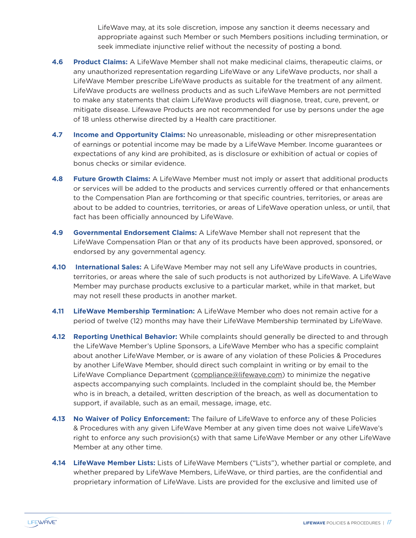LifeWave may, at its sole discretion, impose any sanction it deems necessary and appropriate against such Member or such Members positions including termination, or seek immediate injunctive relief without the necessity of posting a bond.

- **4.6 Product Claims:** A LifeWave Member shall not make medicinal claims, therapeutic claims, or any unauthorized representation regarding LifeWave or any LifeWave products, nor shall a LifeWave Member prescribe LifeWave products as suitable for the treatment of any ailment. LifeWave products are wellness products and as such LifeWave Members are not permitted to make any statements that claim LifeWave products will diagnose, treat, cure, prevent, or mitigate disease. Lifewave Products are not recommended for use by persons under the age of 18 unless otherwise directed by a Health care practitioner.
- **4.7 Income and Opportunity Claims:** No unreasonable, misleading or other misrepresentation of earnings or potential income may be made by a LifeWave Member. Income guarantees or expectations of any kind are prohibited, as is disclosure or exhibition of actual or copies of bonus checks or similar evidence.
- **4.8 Future Growth Claims:** A LifeWave Member must not imply or assert that additional products or services will be added to the products and services currently offered or that enhancements to the Compensation Plan are forthcoming or that specific countries, territories, or areas are about to be added to countries, territories, or areas of LifeWave operation unless, or until, that fact has been officially announced by LifeWave.
- **4.9 Governmental Endorsement Claims:** A LifeWave Member shall not represent that the LifeWave Compensation Plan or that any of its products have been approved, sponsored, or endorsed by any governmental agency.
- **4.10 International Sales:** A LifeWave Member may not sell any LifeWave products in countries, territories, or areas where the sale of such products is not authorized by LifeWave. A LifeWave Member may purchase products exclusive to a particular market, while in that market, but may not resell these products in another market.
- **4.11 LifeWave Membership Termination:** A LifeWave Member who does not remain active for a period of twelve (12) months may have their LifeWave Membership terminated by LifeWave.
- **4.12 Reporting Unethical Behavior:** While complaints should generally be directed to and through the LifeWave Member's Upline Sponsors, a LifeWave Member who has a specific complaint about another LifeWave Member, or is aware of any violation of these Policies & Procedures by another LifeWave Member, should direct such complaint in writing or by email to the LifeWave Compliance Department (compliance@lifewave.com) to minimize the negative aspects accompanying such complaints. Included in the complaint should be, the Member who is in breach, a detailed, written description of the breach, as well as documentation to support, if available, such as an email, message, image, etc.
- **4.13 No Waiver of Policy Enforcement:** The failure of LifeWave to enforce any of these Policies & Procedures with any given LifeWave Member at any given time does not waive LifeWave's right to enforce any such provision(s) with that same LifeWave Member or any other LifeWave Member at any other time.
- **4.14 LifeWave Member Lists:** Lists of LifeWave Members ("Lists"), whether partial or complete, and whether prepared by LifeWave Members, LifeWave, or third parties, are the confidential and proprietary information of LifeWave. Lists are provided for the exclusive and limited use of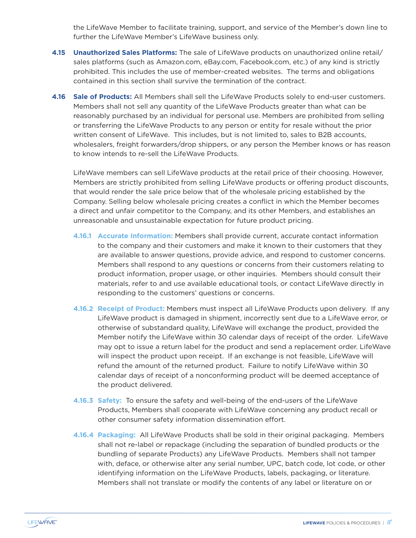the LifeWave Member to facilitate training, support, and service of the Member's down line to further the LifeWave Member's LifeWave business only.

- **4.15 Unauthorized Sales Platforms:** The sale of LifeWave products on unauthorized online retail/ sales platforms (such as Amazon.com, eBay.com, Facebook.com, etc.) of any kind is strictly prohibited. This includes the use of member-created websites. The terms and obligations contained in this section shall survive the termination of the contract.
- **4.16 Sale of Products:** All Members shall sell the LifeWave Products solely to end-user customers. Members shall not sell any quantity of the LifeWave Products greater than what can be reasonably purchased by an individual for personal use. Members are prohibited from selling or transferring the LifeWave Products to any person or entity for resale without the prior written consent of LifeWave. This includes, but is not limited to, sales to B2B accounts, wholesalers, freight forwarders/drop shippers, or any person the Member knows or has reason to know intends to re-sell the LifeWave Products.

LifeWave members can sell LifeWave products at the retail price of their choosing. However, Members are strictly prohibited from selling LifeWave products or offering product discounts, that would render the sale price below that of the wholesale pricing established by the Company. Selling below wholesale pricing creates a conflict in which the Member becomes a direct and unfair competitor to the Company, and its other Members, and establishes an unreasonable and unsustainable expectation for future product pricing.

- **4.16.1 Accurate Information:** Members shall provide current, accurate contact information to the company and their customers and make it known to their customers that they are available to answer questions, provide advice, and respond to customer concerns. Members shall respond to any questions or concerns from their customers relating to product information, proper usage, or other inquiries. Members should consult their materials, refer to and use available educational tools, or contact LifeWave directly in responding to the customers' questions or concerns.
- **4.16.2 Receipt of Product:** Members must inspect all LifeWave Products upon delivery. If any LifeWave product is damaged in shipment, incorrectly sent due to a LifeWave error, or otherwise of substandard quality, LifeWave will exchange the product, provided the Member notify the LifeWave within 30 calendar days of receipt of the order. LifeWave may opt to issue a return label for the product and send a replacement order. LifeWave will inspect the product upon receipt. If an exchange is not feasible, LifeWave will refund the amount of the returned product. Failure to notify LifeWave within 30 calendar days of receipt of a nonconforming product will be deemed acceptance of the product delivered.
- **4.16.3 Safety:** To ensure the safety and well-being of the end-users of the LifeWave Products, Members shall cooperate with LifeWave concerning any product recall or other consumer safety information dissemination effort.
- **4.16.4 Packaging:** All LifeWave Products shall be sold in their original packaging. Members shall not re-label or repackage (including the separation of bundled products or the bundling of separate Products) any LifeWave Products. Members shall not tamper with, deface, or otherwise alter any serial number, UPC, batch code, lot code, or other identifying information on the LifeWave Products, labels, packaging, or literature. Members shall not translate or modify the contents of any label or literature on or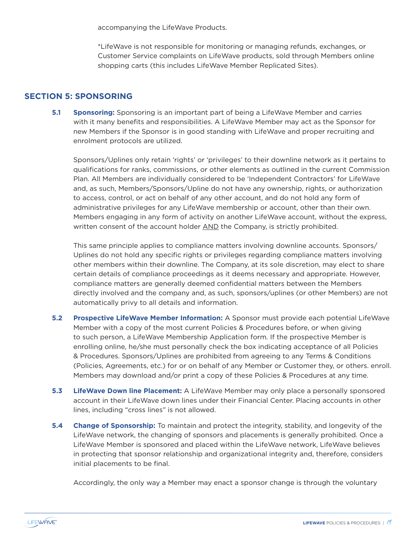accompanying the LifeWave Products.

\*LifeWave is not responsible for monitoring or managing refunds, exchanges, or Customer Service complaints on LifeWave products, sold through Members online shopping carts (this includes LifeWave Member Replicated Sites).

### **SECTION 5: SPONSORING**

**5.1 Sponsoring:** Sponsoring is an important part of being a LifeWave Member and carries with it many benefits and responsibilities. A LifeWave Member may act as the Sponsor for new Members if the Sponsor is in good standing with LifeWave and proper recruiting and enrolment protocols are utilized.

Sponsors/Uplines only retain 'rights' or 'privileges' to their downline network as it pertains to qualifications for ranks, commissions, or other elements as outlined in the current Commission Plan. All Members are individually considered to be 'Independent Contractors' for LifeWave and, as such, Members/Sponsors/Upline do not have any ownership, rights, or authorization to access, control, or act on behalf of any other account, and do not hold any form of administrative privileges for any LifeWave membership or account, other than their own. Members engaging in any form of activity on another LifeWave account, without the express, written consent of the account holder AND the Company, is strictly prohibited.

This same principle applies to compliance matters involving downline accounts. Sponsors/ Uplines do not hold any specific rights or privileges regarding compliance matters involving other members within their downline. The Company, at its sole discretion, may elect to share certain details of compliance proceedings as it deems necessary and appropriate. However, compliance matters are generally deemed confidential matters between the Members directly involved and the company and, as such, sponsors/uplines (or other Members) are not automatically privy to all details and information.

- **5.2 Prospective LifeWave Member Information:** A Sponsor must provide each potential LifeWave Member with a copy of the most current Policies & Procedures before, or when giving to such person, a LifeWave Membership Application form. If the prospective Member is enrolling online, he/she must personally check the box indicating acceptance of all Policies & Procedures. Sponsors/Uplines are prohibited from agreeing to any Terms & Conditions (Policies, Agreements, etc.) for or on behalf of any Member or Customer they, or others. enroll. Members may download and/or print a copy of these Policies & Procedures at any time.
- **5.3 LifeWave Down line Placement:** A LifeWave Member may only place a personally sponsored account in their LifeWave down lines under their Financial Center. Placing accounts in other lines, including "cross lines" is not allowed.
- **5.4 Change of Sponsorship:** To maintain and protect the integrity, stability, and longevity of the LifeWave network, the changing of sponsors and placements is generally prohibited. Once a LifeWave Member is sponsored and placed within the LifeWave network, LifeWave believes in protecting that sponsor relationship and organizational integrity and, therefore, considers initial placements to be final.

Accordingly, the only way a Member may enact a sponsor change is through the voluntary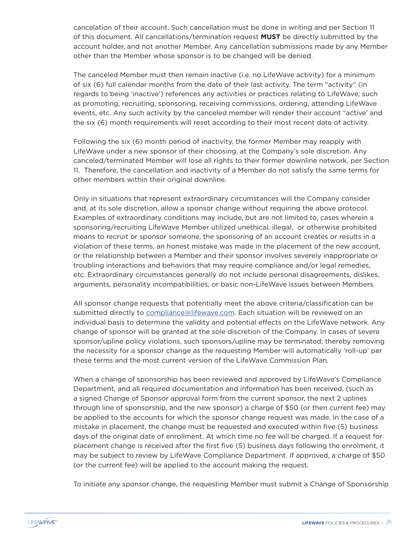cancelation of their account. Such cancellation must be done in writing and per Section 11 of this document. All cancellations/termination request **MUST** be directly submitted by the account holder, and not another Member. Any cancellation submissions made by any Member other than the Member whose sponsor is to be changed will be denied.

The canceled Member must then remain inactive (i.e. no LifeWave activity) for a minimum of six (6) full calendar months from the date of their last activity. The term "activity'' (in regards to being 'inactive') references any activities or practices relating to LifeWave; such as promoting, recruiting, sponsoring, receiving commissions, ordering, attending LifeWave events, etc. Any such activity by the canceled member will render their account "active' and the six (6) month requirements will reset according to their most recent date of activity.

Following the six (6) month period of inactivity, the former Member may reapply with LifeWave under a new sponsor of their choosing, at the Company's sole discretion. Any canceled/terminated Member will lose all rights to their former downline network, per Section 11. Therefore, the cancellation and inactivity of a Member do not satisfy the same terms for other members within their original downline.

Only in situations that represent extraordinary circumstances will the Company consider and, at its sole discretion, allow a sponsor change without requiring the above protocol. Examples of extraordinary conditions may include, but are not limited to, cases wherein a sponsoring/recruiting LifeWave Member utilized unethical, illegal, or otherwise prohibited means to recruit or sponsor someone, the sponsoring of an account creates or results in a violation of these terms, an honest mistake was made in the placement of the new account, or the relationship between a Member and their sponsor involves severely inappropriate or troubling interactions and behaviors that may require compliance and/or legal remedies, etc. Extraordinary circumstances generally do not include personal disagreements, dislikes, arguments, personality incompatibilities, or basic non-LifeWave issues between Members.

All sponsor change requests that potentially meet the above criteria/classification can be submitted directly to compliance@lifewave.com. Each situation will be reviewed on an individual basis to determine the validity and potential effects on the LifeWave network. Any change of sponsor will be granted at the sole discretion of the Company. In cases of severe sponsor/upline policy violations, such sponsors/upline may be terminated; thereby removing the necessity for a sponsor change as the requesting Member will automatically 'roll-up' per these terms and the most current version of the LifeWave Commission Plan.

When a change of sponsorship has been reviewed and approved by LifeWave's Compliance Department, and all required documentation and information has been received, (such as a signed Change of Sponsor approval form from the current sponsor, the next 2 uplines through line of sponsorship, and the new sponsor) a charge of \$50 (or then current fee) may be applied to the accounts for which the sponsor change request was made. In the case of a mistake in placement, the change must be requested and executed within five (5) business days of the original date of enrollment. At which time no fee will be charged. If a request for placement change is received after the first five (5) business days following the enrolment, it may be subject to review by LifeWave Compliance Department. If approved, a charge of \$50 (or the current fee) will be applied to the account making the request.

To initiate any sponsor change, the requesting Member must submit a Change of Sponsorship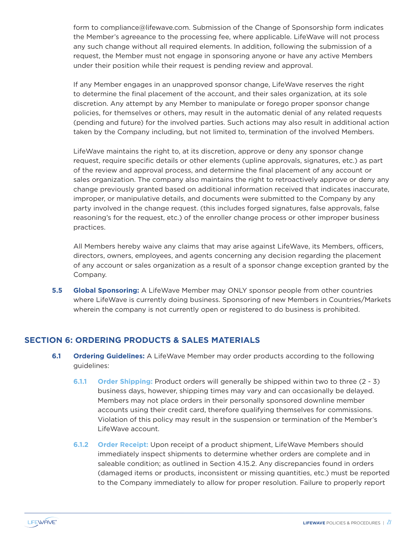form to compliance@lifewave.com. Submission of the Change of Sponsorship form indicates the Member's agreeance to the processing fee, where applicable. LifeWave will not process any such change without all required elements. In addition, following the submission of a request, the Member must not engage in sponsoring anyone or have any active Members under their position while their request is pending review and approval.

If any Member engages in an unapproved sponsor change, LifeWave reserves the right to determine the final placement of the account, and their sales organization, at its sole discretion. Any attempt by any Member to manipulate or forego proper sponsor change policies, for themselves or others, may result in the automatic denial of any related requests (pending and future) for the involved parties. Such actions may also result in additional action taken by the Company including, but not limited to, termination of the involved Members.

LifeWave maintains the right to, at its discretion, approve or deny any sponsor change request, require specific details or other elements (upline approvals, signatures, etc.) as part of the review and approval process, and determine the final placement of any account or sales organization. The company also maintains the right to retroactively approve or deny any change previously granted based on additional information received that indicates inaccurate, improper, or manipulative details, and documents were submitted to the Company by any party involved in the change request. (this includes forged signatures, false approvals, false reasoning's for the request, etc.) of the enroller change process or other improper business practices.

All Members hereby waive any claims that may arise against LifeWave, its Members, officers, directors, owners, employees, and agents concerning any decision regarding the placement of any account or sales organization as a result of a sponsor change exception granted by the Company.

**5.5 Global Sponsoring:** A LifeWave Member may ONLY sponsor people from other countries where LifeWave is currently doing business. Sponsoring of new Members in Countries/Markets wherein the company is not currently open or registered to do business is prohibited.

### **SECTION 6: ORDERING PRODUCTS & SALES MATERIALS**

- **6.1 Ordering Guidelines:** A LifeWave Member may order products according to the following guidelines:
	- **6.1.1 Order Shipping:** Product orders will generally be shipped within two to three (2 3) business days, however, shipping times may vary and can occasionally be delayed. Members may not place orders in their personally sponsored downline member accounts using their credit card, therefore qualifying themselves for commissions. Violation of this policy may result in the suspension or termination of the Member's LifeWave account.
	- **6.1.2 Order Receipt:** Upon receipt of a product shipment, LifeWave Members should immediately inspect shipments to determine whether orders are complete and in saleable condition; as outlined in Section 4.15.2. Any discrepancies found in orders (damaged items or products, inconsistent or missing quantities, etc.) must be reported to the Company immediately to allow for proper resolution. Failure to properly report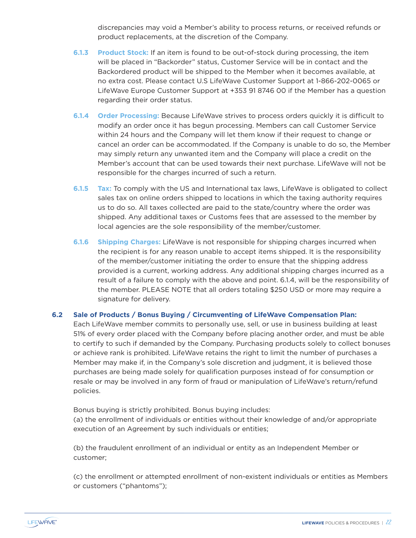discrepancies may void a Member's ability to process returns, or received refunds or product replacements, at the discretion of the Company.

- **6.1.3 Product Stock:** If an item is found to be out-of-stock during processing, the item will be placed in "Backorder" status, Customer Service will be in contact and the Backordered product will be shipped to the Member when it becomes available, at no extra cost. Please contact U.S LifeWave Customer Support at 1-866-202-0065 or LifeWave Europe Customer Support at +353 91 8746 00 if the Member has a question regarding their order status.
- **6.1.4 Order Processing:** Because LifeWave strives to process orders quickly it is difficult to modify an order once it has begun processing. Members can call Customer Service within 24 hours and the Company will let them know if their request to change or cancel an order can be accommodated. If the Company is unable to do so, the Member may simply return any unwanted item and the Company will place a credit on the Member's account that can be used towards their next purchase. LifeWave will not be responsible for the charges incurred of such a return.
- **6.1.5 Tax:** To comply with the US and International tax laws, LifeWave is obligated to collect sales tax on online orders shipped to locations in which the taxing authority requires us to do so. All taxes collected are paid to the state/country where the order was shipped. Any additional taxes or Customs fees that are assessed to the member by local agencies are the sole responsibility of the member/customer.
- **6.1.6 Shipping Charges:** LifeWave is not responsible for shipping charges incurred when the recipient is for any reason unable to accept items shipped. It is the responsibility of the member/customer initiating the order to ensure that the shipping address provided is a current, working address. Any additional shipping charges incurred as a result of a failure to comply with the above and point. 6.1.4, will be the responsibility of the member. PLEASE NOTE that all orders totaling \$250 USD or more may require a signature for delivery.

#### **6.2 Sale of Products / Bonus Buying / Circumventing of LifeWave Compensation Plan:**

Each LifeWave member commits to personally use, sell, or use in business building at least 51% of every order placed with the Company before placing another order, and must be able to certify to such if demanded by the Company. Purchasing products solely to collect bonuses or achieve rank is prohibited. LifeWave retains the right to limit the number of purchases a Member may make if, in the Company's sole discretion and judgment, it is believed those purchases are being made solely for qualification purposes instead of for consumption or resale or may be involved in any form of fraud or manipulation of LifeWave's return/refund policies.

Bonus buying is strictly prohibited. Bonus buying includes: (a) the enrollment of individuals or entities without their knowledge of and/or appropriate execution of an Agreement by such individuals or entities;

(b) the fraudulent enrollment of an individual or entity as an Independent Member or customer;

(c) the enrollment or attempted enrollment of non-existent individuals or entities as Members or customers ("phantoms");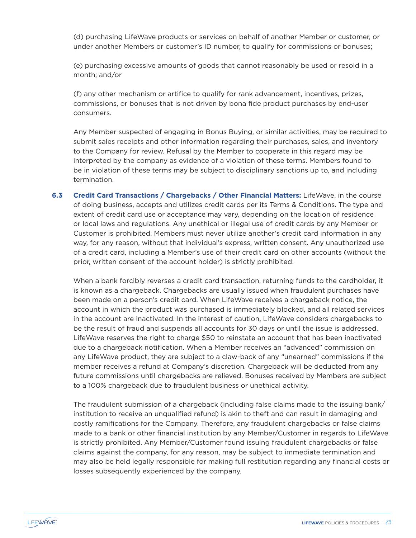(d) purchasing LifeWave products or services on behalf of another Member or customer, or under another Members or customer's ID number, to qualify for commissions or bonuses;

(e) purchasing excessive amounts of goods that cannot reasonably be used or resold in a month; and/or

(f) any other mechanism or artifice to qualify for rank advancement, incentives, prizes, commissions, or bonuses that is not driven by bona fide product purchases by end-user consumers.

Any Member suspected of engaging in Bonus Buying, or similar activities, may be required to submit sales receipts and other information regarding their purchases, sales, and inventory to the Company for review. Refusal by the Member to cooperate in this regard may be interpreted by the company as evidence of a violation of these terms. Members found to be in violation of these terms may be subject to disciplinary sanctions up to, and including termination.

**6.3 Credit Card Transactions / Chargebacks / Other Financial Matters:** LifeWave, in the course of doing business, accepts and utilizes credit cards per its Terms & Conditions. The type and extent of credit card use or acceptance may vary, depending on the location of residence or local laws and regulations. Any unethical or illegal use of credit cards by any Member or Customer is prohibited. Members must never utilize another's credit card information in any way, for any reason, without that individual's express, written consent. Any unauthorized use of a credit card, including a Member's use of their credit card on other accounts (without the prior, written consent of the account holder) is strictly prohibited.

When a bank forcibly reverses a credit card transaction, returning funds to the cardholder, it is known as a chargeback. Chargebacks are usually issued when fraudulent purchases have been made on a person's credit card. When LifeWave receives a chargeback notice, the account in which the product was purchased is immediately blocked, and all related services in the account are inactivated. In the interest of caution, LifeWave considers chargebacks to be the result of fraud and suspends all accounts for 30 days or until the issue is addressed. LifeWave reserves the right to charge \$50 to reinstate an account that has been inactivated due to a chargeback notification. When a Member receives an "advanced" commission on any LifeWave product, they are subject to a claw-back of any "unearned" commissions if the member receives a refund at Company's discretion. Chargeback will be deducted from any future commissions until chargebacks are relieved. Bonuses received by Members are subject to a 100% chargeback due to fraudulent business or unethical activity.

The fraudulent submission of a chargeback (including false claims made to the issuing bank/ institution to receive an unqualified refund) is akin to theft and can result in damaging and costly ramifications for the Company. Therefore, any fraudulent chargebacks or false claims made to a bank or other financial institution by any Member/Customer in regards to LifeWave is strictly prohibited. Any Member/Customer found issuing fraudulent chargebacks or false claims against the company, for any reason, may be subject to immediate termination and may also be held legally responsible for making full restitution regarding any financial costs or losses subsequently experienced by the company.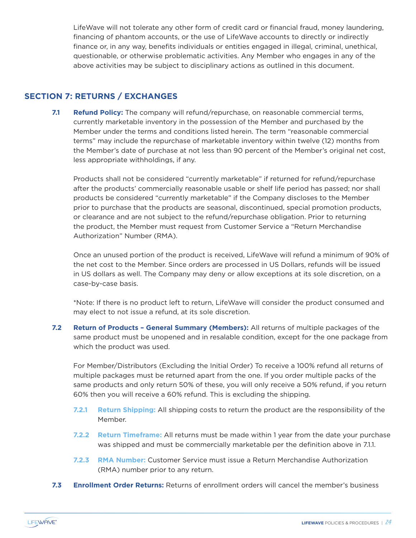LifeWave will not tolerate any other form of credit card or financial fraud, money laundering, financing of phantom accounts, or the use of LifeWave accounts to directly or indirectly finance or, in any way, benefits individuals or entities engaged in illegal, criminal, unethical, questionable, or otherwise problematic activities. Any Member who engages in any of the above activities may be subject to disciplinary actions as outlined in this document.

### **SECTION 7: RETURNS / EXCHANGES**

**7.1 Refund Policy:** The company will refund/repurchase, on reasonable commercial terms, currently marketable inventory in the possession of the Member and purchased by the Member under the terms and conditions listed herein. The term "reasonable commercial terms" may include the repurchase of marketable inventory within twelve (12) months from the Member's date of purchase at not less than 90 percent of the Member's original net cost, less appropriate withholdings, if any.

Products shall not be considered "currently marketable" if returned for refund/repurchase after the products' commercially reasonable usable or shelf life period has passed; nor shall products be considered "currently marketable" if the Company discloses to the Member prior to purchase that the products are seasonal, discontinued, special promotion products, or clearance and are not subject to the refund/repurchase obligation. Prior to returning the product, the Member must request from Customer Service a "Return Merchandise Authorization" Number (RMA).

Once an unused portion of the product is received, LifeWave will refund a minimum of 90% of the net cost to the Member. Since orders are processed in US Dollars, refunds will be issued in US dollars as well. The Company may deny or allow exceptions at its sole discretion, on a case-by-case basis.

\*Note: If there is no product left to return, LifeWave will consider the product consumed and may elect to not issue a refund, at its sole discretion.

**7.2 Return of Products – General Summary (Members):** All returns of multiple packages of the same product must be unopened and in resalable condition, except for the one package from which the product was used.

For Member/Distributors (Excluding the Initial Order) To receive a 100% refund all returns of multiple packages must be returned apart from the one. If you order multiple packs of the same products and only return 50% of these, you will only receive a 50% refund, if you return 60% then you will receive a 60% refund. This is excluding the shipping.

- **7.2.1 Return Shipping:** All shipping costs to return the product are the responsibility of the Member.
- **7.2.2 Return Timeframe:** All returns must be made within 1 year from the date your purchase was shipped and must be commercially marketable per the definition above in 7.1.1.
- **7.2.3 RMA Number:** Customer Service must issue a Return Merchandise Authorization (RMA) number prior to any return.
- **7.3 Enrollment Order Returns:** Returns of enrollment orders will cancel the member's business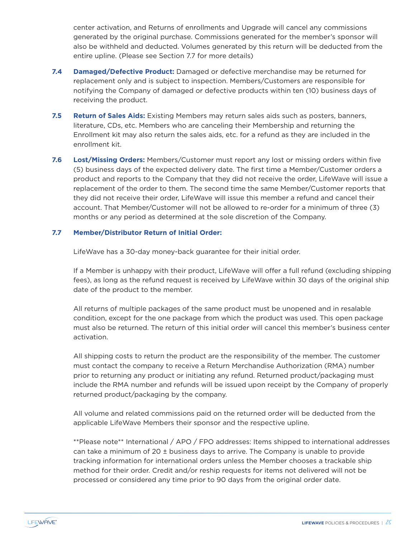center activation, and Returns of enrollments and Upgrade will cancel any commissions generated by the original purchase. Commissions generated for the member's sponsor will also be withheld and deducted. Volumes generated by this return will be deducted from the entire upline. (Please see Section 7.7 for more details)

- **7.4 Damaged/Defective Product:** Damaged or defective merchandise may be returned for replacement only and is subject to inspection. Members/Customers are responsible for notifying the Company of damaged or defective products within ten (10) business days of receiving the product.
- **7.5 Return of Sales Aids:** Existing Members may return sales aids such as posters, banners, literature, CDs, etc. Members who are canceling their Membership and returning the Enrollment kit may also return the sales aids, etc. for a refund as they are included in the enrollment kit.
- **7.6 Lost/Missing Orders:** Members/Customer must report any lost or missing orders within five (5) business days of the expected delivery date. The first time a Member/Customer orders a product and reports to the Company that they did not receive the order, LifeWave will issue a replacement of the order to them. The second time the same Member/Customer reports that they did not receive their order, LifeWave will issue this member a refund and cancel their account. That Member/Customer will not be allowed to re-order for a minimum of three (3) months or any period as determined at the sole discretion of the Company.

#### **7.7 Member/Distributor Return of Initial Order:**

LifeWave has a 30-day money-back guarantee for their initial order.

If a Member is unhappy with their product, LifeWave will offer a full refund (excluding shipping fees), as long as the refund request is received by LifeWave within 30 days of the original ship date of the product to the member.

All returns of multiple packages of the same product must be unopened and in resalable condition, except for the one package from which the product was used. This open package must also be returned. The return of this initial order will cancel this member's business center activation.

All shipping costs to return the product are the responsibility of the member. The customer must contact the company to receive a Return Merchandise Authorization (RMA) number prior to returning any product or initiating any refund. Returned product/packaging must include the RMA number and refunds will be issued upon receipt by the Company of properly returned product/packaging by the company.

All volume and related commissions paid on the returned order will be deducted from the applicable LifeWave Members their sponsor and the respective upline.

\*\*Please note\*\* International / APO / FPO addresses: Items shipped to international addresses can take a minimum of 20 ± business days to arrive. The Company is unable to provide tracking information for international orders unless the Member chooses a trackable ship method for their order. Credit and/or reship requests for items not delivered will not be processed or considered any time prior to 90 days from the original order date.

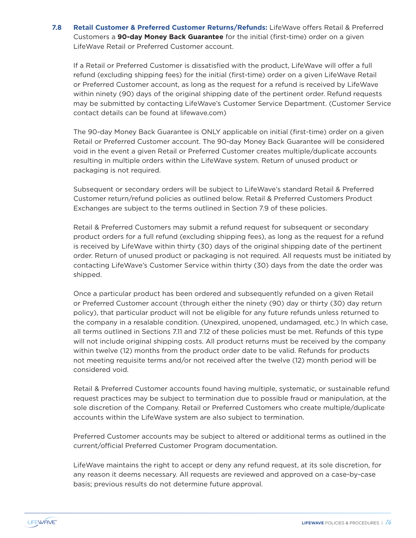**7.8 Retail Customer & Preferred Customer Returns/Refunds:** LifeWave offers Retail & Preferred Customers a **90-day Money Back Guarantee** for the initial (first-time) order on a given LifeWave Retail or Preferred Customer account.

If a Retail or Preferred Customer is dissatisfied with the product, LifeWave will offer a full refund (excluding shipping fees) for the initial (first-time) order on a given LifeWave Retail or Preferred Customer account, as long as the request for a refund is received by LifeWave within ninety (90) days of the original shipping date of the pertinent order. Refund requests may be submitted by contacting LifeWave's Customer Service Department. (Customer Service contact details can be found at lifewave.com)

The 90-day Money Back Guarantee is ONLY applicable on initial (first-time) order on a given Retail or Preferred Customer account. The 90-day Money Back Guarantee will be considered void in the event a given Retail or Preferred Customer creates multiple/duplicate accounts resulting in multiple orders within the LifeWave system. Return of unused product or packaging is not required.

Subsequent or secondary orders will be subject to LifeWave's standard Retail & Preferred Customer return/refund policies as outlined below. Retail & Preferred Customers Product Exchanges are subject to the terms outlined in Section 7.9 of these policies.

Retail & Preferred Customers may submit a refund request for subsequent or secondary product orders for a full refund (excluding shipping fees), as long as the request for a refund is received by LifeWave within thirty (30) days of the original shipping date of the pertinent order. Return of unused product or packaging is not required. All requests must be initiated by contacting LifeWave's Customer Service within thirty (30) days from the date the order was shipped.

Once a particular product has been ordered and subsequently refunded on a given Retail or Preferred Customer account (through either the ninety (90) day or thirty (30) day return policy), that particular product will not be eligible for any future refunds unless returned to the company in a resalable condition. (Unexpired, unopened, undamaged, etc.) In which case, all terms outlined in Sections 7.11 and 7.12 of these policies must be met. Refunds of this type will not include original shipping costs. All product returns must be received by the company within twelve (12) months from the product order date to be valid. Refunds for products not meeting requisite terms and/or not received after the twelve (12) month period will be considered void.

Retail & Preferred Customer accounts found having multiple, systematic, or sustainable refund request practices may be subject to termination due to possible fraud or manipulation, at the sole discretion of the Company. Retail or Preferred Customers who create multiple/duplicate accounts within the LifeWave system are also subject to termination.

Preferred Customer accounts may be subject to altered or additional terms as outlined in the current/official Preferred Customer Program documentation.

LifeWave maintains the right to accept or deny any refund request, at its sole discretion, for any reason it deems necessary. All requests are reviewed and approved on a case-by-case basis; previous results do not determine future approval.

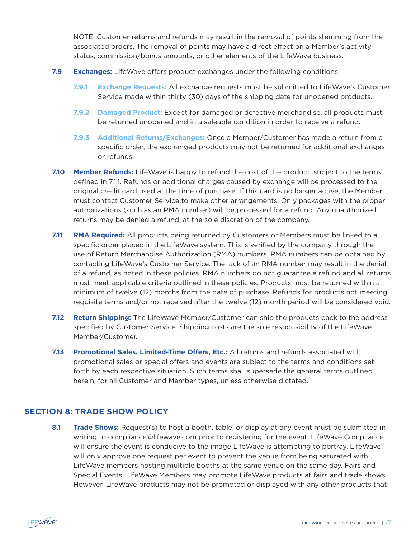NOTE: Customer returns and refunds may result in the removal of points stemming from the associated orders. The removal of points may have a direct effect on a Member's activity status, commission/bonus amounts, or other elements of the LifeWave business.

- **7.9 Exchanges:** LifeWave offers product exchanges under the following conditions:
	- **7.9.1 Exchange Requests:** All exchange requests must be submitted to LifeWave's Customer Service made within thirty (30) days of the shipping date for unopened products.
	- **7.9.2 Damaged Product:** Except for damaged or defective merchandise, all products must be returned unopened and in a saleable condition in order to receive a refund.
	- **7.9.3 Additional Returns/Exchanges:** Once a Member/Customer has made a return from a specific order, the exchanged products may not be returned for additional exchanges or refunds.
- **7.10 Member Refunds:** LifeWave is happy to refund the cost of the product, subject to the terms defined in 7.1.1. Refunds or additional charges caused by exchange will be processed to the original credit card used at the time of purchase. If this card is no longer active, the Member must contact Customer Service to make other arrangements. Only packages with the proper authorizations (such as an RMA number) will be processed for a refund. Any unauthorized returns may be denied a refund, at the sole discretion of the company.
- **7.11 RMA Required:** All products being returned by Customers or Members must be linked to a specific order placed in the LifeWave system. This is verified by the company through the use of Return Merchandise Authorization (RMA) numbers. RMA numbers can be obtained by contacting LifeWave's Customer Service. The lack of an RMA number may result in the denial of a refund, as noted in these policies. RMA numbers do not guarantee a refund and all returns must meet applicable criteria outlined in these policies. Products must be returned within a minimum of twelve (12) months from the date of purchase. Refunds for products not meeting requisite terms and/or not received after the twelve (12) month period will be considered void.
- **7.12 Return Shipping:** The LifeWave Member/Customer can ship the products back to the address specified by Customer Service. Shipping costs are the sole responsibility of the LifeWave Member/Customer.
- **7.13 Promotional Sales, Limited-Time Offers, Etc.:** All returns and refunds associated with promotional sales or special offers and events are subject to the terms and conditions set forth by each respective situation. Such terms shall supersede the general terms outlined herein, for all Customer and Member types, unless otherwise dictated.

### **SECTION 8: TRADE SHOW POLICY**

**8.1 Trade Shows:** Request(s) to host a booth, table, or display at any event must be submitted in writing to compliance@lifewave.com prior to registering for the event. LifeWave Compliance will ensure the event is conducive to the image LifeWave is attempting to portray. LifeWave will only approve one request per event to prevent the venue from being saturated with LifeWave members hosting multiple booths at the same venue on the same day. Fairs and Special Events: LifeWave Members may promote LifeWave products at fairs and trade shows. However, LifeWave products may not be promoted or displayed with any other products that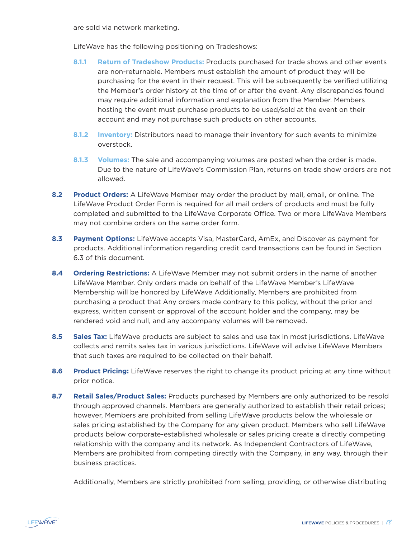are sold via network marketing.

LifeWave has the following positioning on Tradeshows:

- **8.1.1 Return of Tradeshow Products:** Products purchased for trade shows and other events are non-returnable. Members must establish the amount of product they will be purchasing for the event in their request. This will be subsequently be verified utilizing the Member's order history at the time of or after the event. Any discrepancies found may require additional information and explanation from the Member. Members hosting the event must purchase products to be used/sold at the event on their account and may not purchase such products on other accounts.
- **8.1.2 Inventory:** Distributors need to manage their inventory for such events to minimize overstock.
- **8.1.3 Volumes:** The sale and accompanying volumes are posted when the order is made. Due to the nature of LifeWave's Commission Plan, returns on trade show orders are not allowed.
- **8.2 Product Orders:** A LifeWave Member may order the product by mail, email, or online. The LifeWave Product Order Form is required for all mail orders of products and must be fully completed and submitted to the LifeWave Corporate Office. Two or more LifeWave Members may not combine orders on the same order form.
- **8.3 Payment Options:** LifeWave accepts Visa, MasterCard, AmEx, and Discover as payment for products. Additional information regarding credit card transactions can be found in Section 6.3 of this document.
- **8.4 Ordering Restrictions:** A LifeWave Member may not submit orders in the name of another LifeWave Member. Only orders made on behalf of the LifeWave Member's LifeWave Membership will be honored by LifeWave Additionally, Members are prohibited from purchasing a product that Any orders made contrary to this policy, without the prior and express, written consent or approval of the account holder and the company, may be rendered void and null, and any accompany volumes will be removed.
- 8.5 Sales Tax: LifeWave products are subject to sales and use tax in most jurisdictions. LifeWave collects and remits sales tax in various jurisdictions. LifeWave will advise LifeWave Members that such taxes are required to be collected on their behalf.
- **8.6 Product Pricing:** LifeWave reserves the right to change its product pricing at any time without prior notice.
- **8.7 Retail Sales/Product Sales:** Products purchased by Members are only authorized to be resold through approved channels. Members are generally authorized to establish their retail prices; however, Members are prohibited from selling LifeWave products below the wholesale or sales pricing established by the Company for any given product. Members who sell LifeWave products below corporate-established wholesale or sales pricing create a directly competing relationship with the company and its network. As Independent Contractors of LifeWave, Members are prohibited from competing directly with the Company, in any way, through their business practices.

Additionally, Members are strictly prohibited from selling, providing, or otherwise distributing

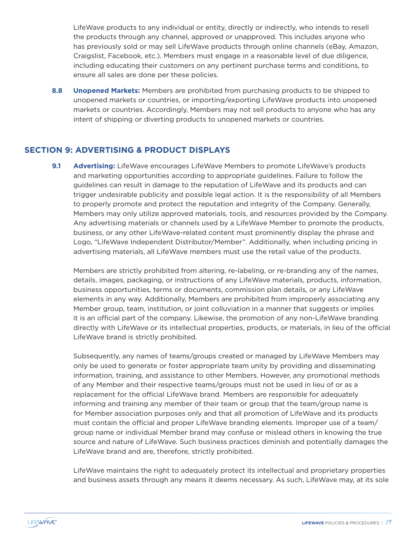LifeWave products to any individual or entity, directly or indirectly, who intends to resell the products through any channel, approved or unapproved. This includes anyone who has previously sold or may sell LifeWave products through online channels (eBay, Amazon, Craigslist, Facebook, etc.). Members must engage in a reasonable level of due diligence, including educating their customers on any pertinent purchase terms and conditions, to ensure all sales are done per these policies.

**8.8 Unopened Markets:** Members are prohibited from purchasing products to be shipped to unopened markets or countries, or importing/exporting LifeWave products into unopened markets or countries. Accordingly, Members may not sell products to anyone who has any intent of shipping or diverting products to unopened markets or countries.

### **SECTION 9: ADVERTISING & PRODUCT DISPLAYS**

**9.1 Advertising:** LifeWave encourages LifeWave Members to promote LifeWave's products and marketing opportunities according to appropriate guidelines. Failure to follow the guidelines can result in damage to the reputation of LifeWave and its products and can trigger undesirable publicity and possible legal action. It is the responsibility of all Members to properly promote and protect the reputation and integrity of the Company. Generally, Members may only utilize approved materials, tools, and resources provided by the Company. Any advertising materials or channels used by a LifeWave Member to promote the products, business, or any other LifeWave-related content must prominently display the phrase and Logo, "LifeWave Independent Distributor/Member". Additionally, when including pricing in advertising materials, all LifeWave members must use the retail value of the products.

Members are strictly prohibited from altering, re-labeling, or re-branding any of the names, details, images, packaging, or instructions of any LifeWave materials, products, information, business opportunities, terms or documents, commission plan details, or any LifeWave elements in any way. Additionally, Members are prohibited from improperly associating any Member group, team, institution, or joint colluviation in a manner that suggests or implies it is an official part of the company. Likewise, the promotion of any non-LifeWave branding directly with LifeWave or its intellectual properties, products, or materials, in lieu of the official LifeWave brand is strictly prohibited.

Subsequently, any names of teams/groups created or managed by LifeWave Members may only be used to generate or foster appropriate team unity by providing and disseminating information, training, and assistance to other Members. However, any promotional methods of any Member and their respective teams/groups must not be used in lieu of or as a replacement for the official LifeWave brand. Members are responsible for adequately informing and training any member of their team or group that the team/group name is for Member association purposes only and that all promotion of LifeWave and its products must contain the official and proper LifeWave branding elements. Improper use of a team/ group name or individual Member brand may confuse or mislead others in knowing the true source and nature of LifeWave. Such business practices diminish and potentially damages the LifeWave brand and are, therefore, strictly prohibited.

LifeWave maintains the right to adequately protect its intellectual and proprietary properties and business assets through any means it deems necessary. As such, LifeWave may, at its sole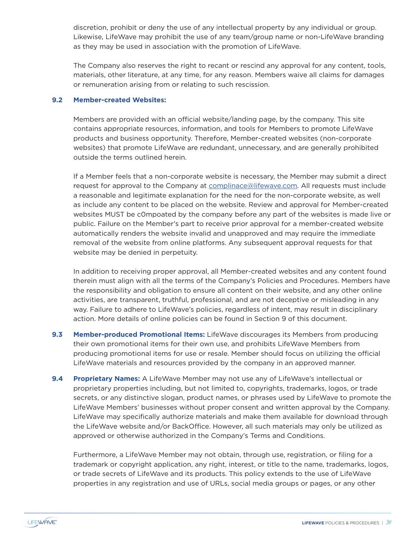discretion, prohibit or deny the use of any intellectual property by any individual or group. Likewise, LifeWave may prohibit the use of any team/group name or non-LifeWave branding as they may be used in association with the promotion of LifeWave.

The Company also reserves the right to recant or rescind any approval for any content, tools, materials, other literature, at any time, for any reason. Members waive all claims for damages or remuneration arising from or relating to such rescission.

#### **9.2 Member-created Websites:**

Members are provided with an official website/landing page, by the company. This site contains appropriate resources, information, and tools for Members to promote LifeWave products and business opportunity. Therefore, Member-created websites (non-corporate websites) that promote LifeWave are redundant, unnecessary, and are generally prohibited outside the terms outlined herein.

If a Member feels that a non-corporate website is necessary, the Member may submit a direct request for approval to the Company at complinace@lifewave.com. All requests must include a reasonable and legitimate explanation for the need for the non-corporate website, as well as include any content to be placed on the website. Review and approval for Member-created websites MUST be c0mpoated by the company before any part of the websites is made live or public. Failure on the Member's part to receive prior approval for a member-created website automatically renders the website invalid and unapproved and may require the immediate removal of the website from online platforms. Any subsequent approval requests for that website may be denied in perpetuity.

In addition to receiving proper approval, all Member-created websites and any content found therein must align with all the terms of the Company's Policies and Procedures. Members have the responsibility and obligation to ensure all content on their website, and any other online activities, are transparent, truthful, professional, and are not deceptive or misleading in any way. Failure to adhere to LifeWave's policies, regardless of intent, may result in disciplinary action. More details of online policies can be found in Section 9 of this document.

- **9.3 Member-produced Promotional Items:** LifeWave discourages its Members from producing their own promotional items for their own use, and prohibits LifeWave Members from producing promotional items for use or resale. Member should focus on utilizing the official LifeWave materials and resources provided by the company in an approved manner.
- **9.4 Proprietary Names:** A LifeWave Member may not use any of LifeWave's intellectual or proprietary properties including, but not limited to, copyrights, trademarks, logos, or trade secrets, or any distinctive slogan, product names, or phrases used by LifeWave to promote the LifeWave Members' businesses without proper consent and written approval by the Company. LifeWave may specifically authorize materials and make them available for download through the LifeWave website and/or BackOffice. However, all such materials may only be utilized as approved or otherwise authorized in the Company's Terms and Conditions.

Furthermore, a LifeWave Member may not obtain, through use, registration, or filing for a trademark or copyright application, any right, interest, or title to the name, trademarks, logos, or trade secrets of LifeWave and its products. This policy extends to the use of LifeWave properties in any registration and use of URLs, social media groups or pages, or any other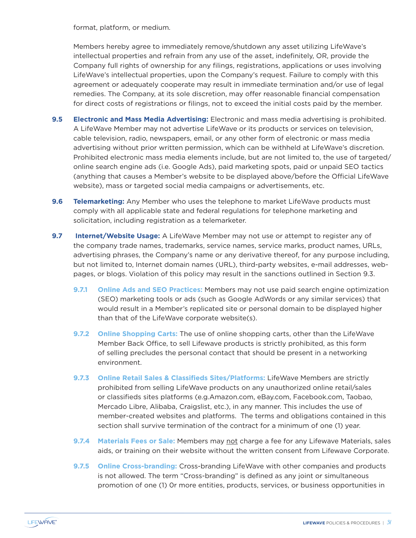format, platform, or medium.

Members hereby agree to immediately remove/shutdown any asset utilizing LifeWave's intellectual properties and refrain from any use of the asset, indefinitely, OR, provide the Company full rights of ownership for any filings, registrations, applications or uses involving LifeWave's intellectual properties, upon the Company's request. Failure to comply with this agreement or adequately cooperate may result in immediate termination and/or use of legal remedies. The Company, at its sole discretion, may offer reasonable financial compensation for direct costs of registrations or filings, not to exceed the initial costs paid by the member.

- **9.5 Electronic and Mass Media Advertising:** Electronic and mass media advertising is prohibited. A LifeWave Member may not advertise LifeWave or its products or services on television, cable television, radio, newspapers, email, or any other form of electronic or mass media advertising without prior written permission, which can be withheld at LifeWave's discretion. Prohibited electronic mass media elements include, but are not limited to, the use of targeted/ online search engine ads (i.e. Google Ads), paid marketing spots, paid or unpaid SEO tactics (anything that causes a Member's website to be displayed above/before the Official LifeWave website), mass or targeted social media campaigns or advertisements, etc.
- **9.6 Telemarketing:** Any Member who uses the telephone to market LifeWave products must comply with all applicable state and federal regulations for telephone marketing and solicitation, including registration as a telemarketer.
- **9.7 Internet/Website Usage:** A LifeWave Member may not use or attempt to register any of the company trade names, trademarks, service names, service marks, product names, URLs, advertising phrases, the Company's name or any derivative thereof, for any purpose including, but not limited to, Internet domain names (URL), third-party websites, e-mail addresses, webpages, or blogs. Violation of this policy may result in the sanctions outlined in Section 9.3.
	- **9.7.1 Online Ads and SEO Practices:** Members may not use paid search engine optimization (SEO) marketing tools or ads (such as Google AdWords or any similar services) that would result in a Member's replicated site or personal domain to be displayed higher than that of the LifeWave corporate website(s).
	- **9.7.2 Online Shopping Carts:** The use of online shopping carts, other than the LifeWave Member Back Office, to sell Lifewave products is strictly prohibited, as this form of selling precludes the personal contact that should be present in a networking environment.
	- **9.7.3 Online Retail Sales & Classifieds Sites/Platforms:** LifeWave Members are strictly prohibited from selling LifeWave products on any unauthorized online retail/sales or classifieds sites platforms (e.g.Amazon.com, eBay.com, Facebook.com, Taobao, Mercado Libre, Alibaba, Craigslist, etc.), in any manner. This includes the use of member-created websites and platforms. The terms and obligations contained in this section shall survive termination of the contract for a minimum of one (1) year.
	- **9.7.4 Materials Fees or Sale:** Members may not charge a fee for any Lifewave Materials, sales aids, or training on their website without the written consent from Lifewave Corporate.
	- **9.7.5 Online Cross-branding:** Cross-branding LifeWave with other companies and products is not allowed. The term "Cross-branding" is defined as any joint or simultaneous promotion of one (1) 0r more entities, products, services, or business opportunities in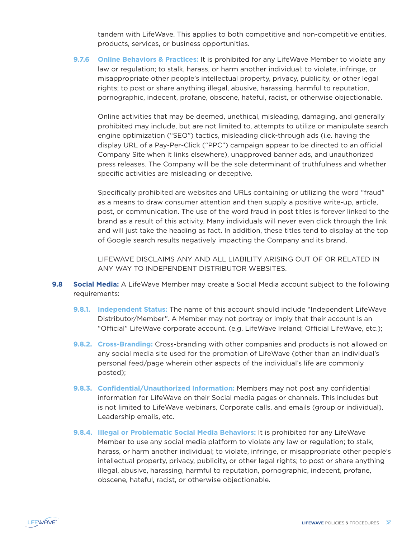tandem with LifeWave. This applies to both competitive and non-competitive entities, products, services, or business opportunities.

**9.7.6 Online Behaviors & Practices:** It is prohibited for any LifeWave Member to violate any law or regulation; to stalk, harass, or harm another individual; to violate, infringe, or misappropriate other people's intellectual property, privacy, publicity, or other legal rights; to post or share anything illegal, abusive, harassing, harmful to reputation, pornographic, indecent, profane, obscene, hateful, racist, or otherwise objectionable.

Online activities that may be deemed, unethical, misleading, damaging, and generally prohibited may include, but are not limited to, attempts to utilize or manipulate search engine optimization ("SEO") tactics, misleading click-through ads (i.e. having the display URL of a Pay-Per-Click ("PPC") campaign appear to be directed to an official Company Site when it links elsewhere), unapproved banner ads, and unauthorized press releases. The Company will be the sole determinant of truthfulness and whether specific activities are misleading or deceptive.

Specifically prohibited are websites and URLs containing or utilizing the word "fraud" as a means to draw consumer attention and then supply a positive write-up, article, post, or communication. The use of the word fraud in post titles is forever linked to the brand as a result of this activity. Many individuals will never even click through the link and will just take the heading as fact. In addition, these titles tend to display at the top of Google search results negatively impacting the Company and its brand.

LIFEWAVE DISCLAIMS ANY AND ALL LIABILITY ARISING OUT OF OR RELATED IN ANY WAY TO INDEPENDENT DISTRIBUTOR WEBSITES.

- **9.8 Social Media:** A LifeWave Member may create a Social Media account subject to the following requirements:
	- **9.8.1. Independent Status:** The name of this account should include "Independent LifeWave Distributor/Member". A Member may not portray or imply that their account is an "Official" LifeWave corporate account. (e.g. LifeWave Ireland; Official LifeWave, etc.);
	- **9.8.2. Cross-Branding:** Cross-branding with other companies and products is not allowed on any social media site used for the promotion of LifeWave (other than an individual's personal feed/page wherein other aspects of the individual's life are commonly posted);
	- **9.8.3. Confidential/Unauthorized Information:** Members may not post any confidential information for LifeWave on their Social media pages or channels. This includes but is not limited to LifeWave webinars, Corporate calls, and emails (group or individual), Leadership emails, etc.
	- **9.8.4. Illegal or Problematic Social Media Behaviors:** It is prohibited for any LifeWave Member to use any social media platform to violate any law or regulation; to stalk, harass, or harm another individual; to violate, infringe, or misappropriate other people's intellectual property, privacy, publicity, or other legal rights; to post or share anything illegal, abusive, harassing, harmful to reputation, pornographic, indecent, profane, obscene, hateful, racist, or otherwise objectionable.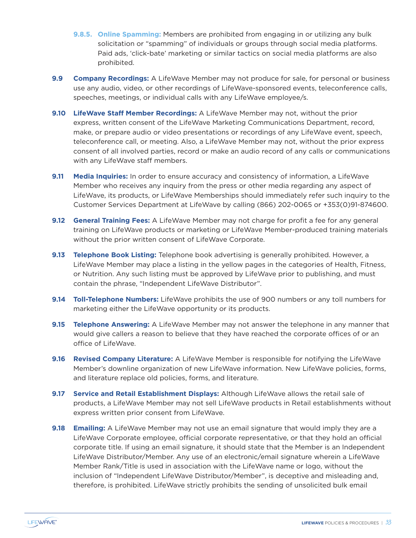- **9.8.5. Online Spamming:** Members are prohibited from engaging in or utilizing any bulk solicitation or "spamming" of individuals or groups through social media platforms. Paid ads, 'click-bate' marketing or similar tactics on social media platforms are also prohibited.
- **9.9 Company Recordings:** A LifeWave Member may not produce for sale, for personal or business use any audio, video, or other recordings of LifeWave-sponsored events, teleconference calls, speeches, meetings, or individual calls with any LifeWave employee/s.
- **9.10 LifeWave Staff Member Recordings:** A LifeWave Member may not, without the prior express, written consent of the LifeWave Marketing Communications Department, record, make, or prepare audio or video presentations or recordings of any LifeWave event, speech, teleconference call, or meeting. Also, a LifeWave Member may not, without the prior express consent of all involved parties, record or make an audio record of any calls or communications with any LifeWave staff members.
- **9.11 Media Inquiries:** In order to ensure accuracy and consistency of information, a LifeWave Member who receives any inquiry from the press or other media regarding any aspect of LifeWave, its products, or LifeWave Memberships should immediately refer such inquiry to the Customer Services Department at LifeWave by calling (866) 202-0065 or +353(0)91-874600.
- **9.12 General Training Fees:** A LifeWave Member may not charge for profit a fee for any general training on LifeWave products or marketing or LifeWave Member-produced training materials without the prior written consent of LifeWave Corporate.
- **9.13 Telephone Book Listing:** Telephone book advertising is generally prohibited. However, a LifeWave Member may place a listing in the yellow pages in the categories of Health, Fitness, or Nutrition. Any such listing must be approved by LifeWave prior to publishing, and must contain the phrase, "Independent LifeWave Distributor".
- **9.14 Toll-Telephone Numbers:** LifeWave prohibits the use of 900 numbers or any toll numbers for marketing either the LifeWave opportunity or its products.
- **9.15 Telephone Answering:** A LifeWave Member may not answer the telephone in any manner that would give callers a reason to believe that they have reached the corporate offices of or an office of LifeWave.
- **9.16 Revised Company Literature:** A LifeWave Member is responsible for notifying the LifeWave Member's downline organization of new LifeWave information. New LifeWave policies, forms, and literature replace old policies, forms, and literature.
- **9.17 Service and Retail Establishment Displays:** Although LifeWave allows the retail sale of products, a LifeWave Member may not sell LifeWave products in Retail establishments without express written prior consent from LifeWave.
- **9.18 Emailing:** A LifeWave Member may not use an email signature that would imply they are a LifeWave Corporate employee, official corporate representative, or that they hold an official corporate title. If using an email signature, it should state that the Member is an Independent LifeWave Distributor/Member. Any use of an electronic/email signature wherein a LifeWave Member Rank/Title is used in association with the LifeWave name or logo, without the inclusion of "Independent LifeWave Distributor/Member", is deceptive and misleading and, therefore, is prohibited. LifeWave strictly prohibits the sending of unsolicited bulk email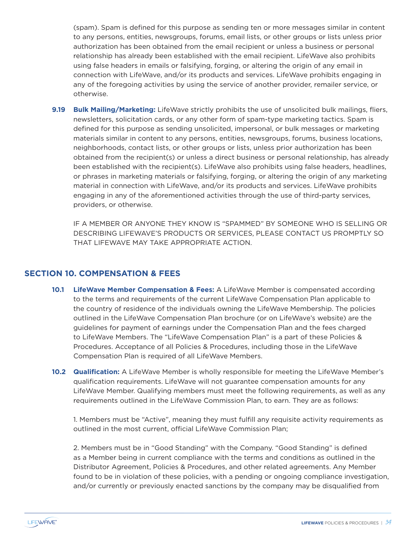(spam). Spam is defined for this purpose as sending ten or more messages similar in content to any persons, entities, newsgroups, forums, email lists, or other groups or lists unless prior authorization has been obtained from the email recipient or unless a business or personal relationship has already been established with the email recipient. LifeWave also prohibits using false headers in emails or falsifying, forging, or altering the origin of any email in connection with LifeWave, and/or its products and services. LifeWave prohibits engaging in any of the foregoing activities by using the service of another provider, remailer service, or otherwise.

**9.19 Bulk Mailing/Marketing:** LifeWave strictly prohibits the use of unsolicited bulk mailings, fliers, newsletters, solicitation cards, or any other form of spam-type marketing tactics. Spam is defined for this purpose as sending unsolicited, impersonal, or bulk messages or marketing materials similar in content to any persons, entities, newsgroups, forums, business locations, neighborhoods, contact lists, or other groups or lists, unless prior authorization has been obtained from the recipient(s) or unless a direct business or personal relationship, has already been established with the recipient(s). LifeWave also prohibits using false headers, headlines, or phrases in marketing materials or falsifying, forging, or altering the origin of any marketing material in connection with LifeWave, and/or its products and services. LifeWave prohibits engaging in any of the aforementioned activities through the use of third-party services, providers, or otherwise.

IF A MEMBER OR ANYONE THEY KNOW IS "SPAMMED" BY SOMEONE WHO IS SELLING OR DESCRIBING LIFEWAVE'S PRODUCTS OR SERVICES, PLEASE CONTACT US PROMPTLY SO THAT LIFEWAVE MAY TAKE APPROPRIATE ACTION.

#### **SECTION 10. COMPENSATION & FEES**

- **10.1 LifeWave Member Compensation & Fees:** A LifeWave Member is compensated according to the terms and requirements of the current LifeWave Compensation Plan applicable to the country of residence of the individuals owning the LifeWave Membership. The policies outlined in the LifeWave Compensation Plan brochure (or on LifeWave's website) are the guidelines for payment of earnings under the Compensation Plan and the fees charged to LifeWave Members. The "LifeWave Compensation Plan" is a part of these Policies & Procedures. Acceptance of all Policies & Procedures, including those in the LifeWave Compensation Plan is required of all LifeWave Members.
- **10.2 Qualification:** A LifeWave Member is wholly responsible for meeting the LifeWave Member's qualification requirements. LifeWave will not guarantee compensation amounts for any LifeWave Member. Qualifying members must meet the following requirements, as well as any requirements outlined in the LifeWave Commission Plan, to earn. They are as follows:

1. Members must be "Active", meaning they must fulfill any requisite activity requirements as outlined in the most current, official LifeWave Commission Plan;

2. Members must be in "Good Standing" with the Company. "Good Standing" is defined as a Member being in current compliance with the terms and conditions as outlined in the Distributor Agreement, Policies & Procedures, and other related agreements. Any Member found to be in violation of these policies, with a pending or ongoing compliance investigation, and/or currently or previously enacted sanctions by the company may be disqualified from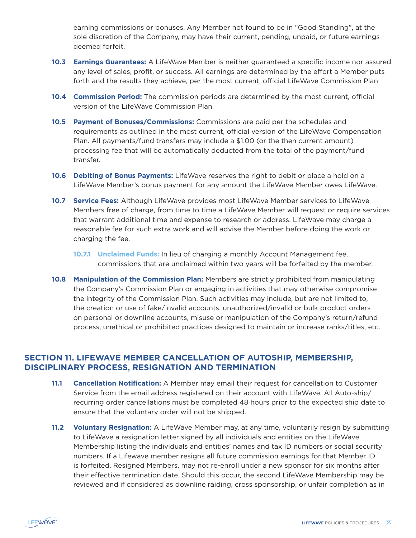earning commissions or bonuses. Any Member not found to be in "Good Standing", at the sole discretion of the Company, may have their current, pending, unpaid, or future earnings deemed forfeit.

- **10.3 Earnings Guarantees:** A LifeWave Member is neither guaranteed a specific income nor assured any level of sales, profit, or success. All earnings are determined by the effort a Member puts forth and the results they achieve, per the most current, official LifeWave Commission Plan
- **10.4 Commission Period:** The commission periods are determined by the most current, official version of the LifeWave Commission Plan.
- **10.5 Payment of Bonuses/Commissions:** Commissions are paid per the schedules and requirements as outlined in the most current, official version of the LifeWave Compensation Plan. All payments/fund transfers may include a \$1.00 (or the then current amount) processing fee that will be automatically deducted from the total of the payment/fund transfer.
- **10.6 Debiting of Bonus Payments:** LifeWave reserves the right to debit or place a hold on a LifeWave Member's bonus payment for any amount the LifeWave Member owes LifeWave.
- **10.7 Service Fees:** Although LifeWave provides most LifeWave Member services to LifeWave Members free of charge, from time to time a LifeWave Member will request or require services that warrant additional time and expense to research or address. LifeWave may charge a reasonable fee for such extra work and will advise the Member before doing the work or charging the fee.
	- **10.7.1 Unclaimed Funds:** In lieu of charging a monthly Account Management fee, commissions that are unclaimed within two years will be forfeited by the member.
- **10.8 Manipulation of the Commission Plan:** Members are strictly prohibited from manipulating the Company's Commission Plan or engaging in activities that may otherwise compromise the integrity of the Commission Plan. Such activities may include, but are not limited to, the creation or use of fake/invalid accounts, unauthorized/invalid or bulk product orders on personal or downline accounts, misuse or manipulation of the Company's return/refund process, unethical or prohibited practices designed to maintain or increase ranks/titles, etc.

### **SECTION 11. LIFEWAVE MEMBER CANCELLATION OF AUTOSHIP, MEMBERSHIP, DISCIPLINARY PROCESS, RESIGNATION AND TERMINATION**

- **11.1 Cancellation Notification:** A Member may email their request for cancellation to Customer Service from the email address registered on their account with LifeWave. All Auto-ship/ recurring order cancellations must be completed 48 hours prior to the expected ship date to ensure that the voluntary order will not be shipped.
- **11.2 Voluntary Resignation:** A LifeWave Member may, at any time, voluntarily resign by submitting to LifeWave a resignation letter signed by all individuals and entities on the LifeWave Membership listing the individuals and entities' names and tax ID numbers or social security numbers. If a Lifewave member resigns all future commission earnings for that Member ID is forfeited. Resigned Members, may not re-enroll under a new sponsor for six months after their effective termination date. Should this occur, the second LifeWave Membership may be reviewed and if considered as downline raiding, cross sponsorship, or unfair completion as in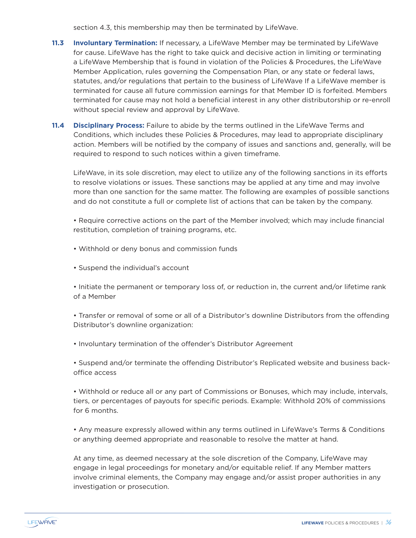section 4.3, this membership may then be terminated by LifeWave.

- **11.3 Involuntary Termination:** If necessary, a LifeWave Member may be terminated by LifeWave for cause. LifeWave has the right to take quick and decisive action in limiting or terminating a LifeWave Membership that is found in violation of the Policies & Procedures, the LifeWave Member Application, rules governing the Compensation Plan, or any state or federal laws, statutes, and/or regulations that pertain to the business of LifeWave If a LifeWave member is terminated for cause all future commission earnings for that Member ID is forfeited. Members terminated for cause may not hold a beneficial interest in any other distributorship or re-enroll without special review and approval by LifeWave.
- **11.4 Disciplinary Process:** Failure to abide by the terms outlined in the LifeWave Terms and Conditions, which includes these Policies & Procedures, may lead to appropriate disciplinary action. Members will be notified by the company of issues and sanctions and, generally, will be required to respond to such notices within a given timeframe.

LifeWave, in its sole discretion, may elect to utilize any of the following sanctions in its efforts to resolve violations or issues. These sanctions may be applied at any time and may involve more than one sanction for the same matter. The following are examples of possible sanctions and do not constitute a full or complete list of actions that can be taken by the company.

• Require corrective actions on the part of the Member involved; which may include financial restitution, completion of training programs, etc.

- Withhold or deny bonus and commission funds
- Suspend the individual's account

• Initiate the permanent or temporary loss of, or reduction in, the current and/or lifetime rank of a Member

• Transfer or removal of some or all of a Distributor's downline Distributors from the offending Distributor's downline organization:

• Involuntary termination of the offender's Distributor Agreement

• Suspend and/or terminate the offending Distributor's Replicated website and business backoffice access

• Withhold or reduce all or any part of Commissions or Bonuses, which may include, intervals, tiers, or percentages of payouts for specific periods. Example: Withhold 20% of commissions for 6 months.

• Any measure expressly allowed within any terms outlined in LifeWave's Terms & Conditions or anything deemed appropriate and reasonable to resolve the matter at hand.

At any time, as deemed necessary at the sole discretion of the Company, LifeWave may engage in legal proceedings for monetary and/or equitable relief. If any Member matters involve criminal elements, the Company may engage and/or assist proper authorities in any investigation or prosecution.

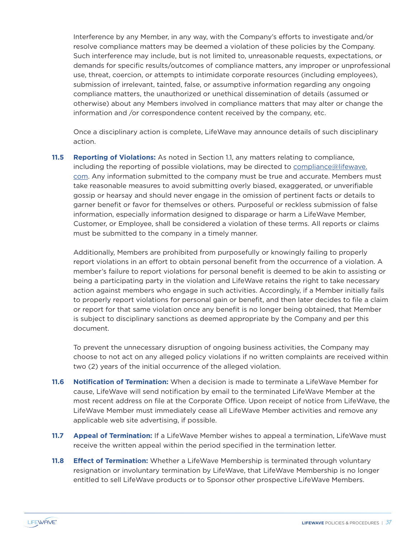Interference by any Member, in any way, with the Company's efforts to investigate and/or resolve compliance matters may be deemed a violation of these policies by the Company. Such interference may include, but is not limited to, unreasonable requests, expectations, or demands for specific results/outcomes of compliance matters, any improper or unprofessional use, threat, coercion, or attempts to intimidate corporate resources (including employees), submission of irrelevant, tainted, false, or assumptive information regarding any ongoing compliance matters, the unauthorized or unethical dissemination of details (assumed or otherwise) about any Members involved in compliance matters that may alter or change the information and /or correspondence content received by the company, etc.

Once a disciplinary action is complete, LifeWave may announce details of such disciplinary action.

**11.5 Reporting of Violations:** As noted in Section 1.1, any matters relating to compliance, including the reporting of possible violations, may be directed to compliance@lifewave. com. Any information submitted to the company must be true and accurate. Members must take reasonable measures to avoid submitting overly biased, exaggerated, or unverifiable gossip or hearsay and should never engage in the omission of pertinent facts or details to garner benefit or favor for themselves or others. Purposeful or reckless submission of false information, especially information designed to disparage or harm a LifeWave Member, Customer, or Employee, shall be considered a violation of these terms. All reports or claims must be submitted to the company in a timely manner.

Additionally, Members are prohibited from purposefully or knowingly failing to properly report violations in an effort to obtain personal benefit from the occurrence of a violation. A member's failure to report violations for personal benefit is deemed to be akin to assisting or being a participating party in the violation and LifeWave retains the right to take necessary action against members who engage in such activities. Accordingly, if a Member initially fails to properly report violations for personal gain or benefit, and then later decides to file a claim or report for that same violation once any benefit is no longer being obtained, that Member is subject to disciplinary sanctions as deemed appropriate by the Company and per this document.

To prevent the unnecessary disruption of ongoing business activities, the Company may choose to not act on any alleged policy violations if no written complaints are received within two (2) years of the initial occurrence of the alleged violation.

- **11.6 Notification of Termination:** When a decision is made to terminate a LifeWave Member for cause, LifeWave will send notification by email to the terminated LifeWave Member at the most recent address on file at the Corporate Office. Upon receipt of notice from LifeWave, the LifeWave Member must immediately cease all LifeWave Member activities and remove any applicable web site advertising, if possible.
- **11.7 Appeal of Termination:** If a LifeWave Member wishes to appeal a termination, LifeWave must receive the written appeal within the period specified in the termination letter.
- **11.8 Effect of Termination:** Whether a LifeWave Membership is terminated through voluntary resignation or involuntary termination by LifeWave, that LifeWave Membership is no longer entitled to sell LifeWave products or to Sponsor other prospective LifeWave Members.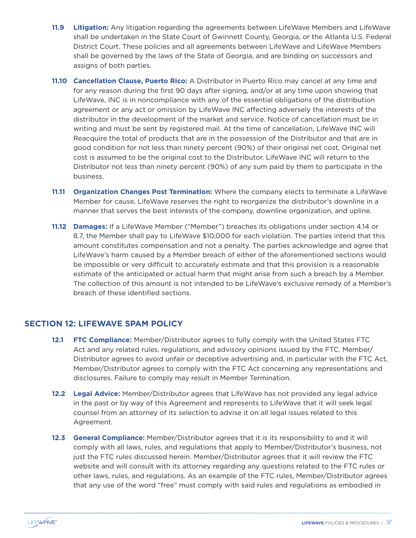- **11.9 Litigation:** Any litigation regarding the agreements between LifeWave Members and LifeWave shall be undertaken in the State Court of Gwinnett County, Georgia, or the Atlanta U.S. Federal District Court. These policies and all agreements between LifeWave and LifeWave Members shall be governed by the laws of the State of Georgia, and are binding on successors and assigns of both parties.
- **11.10 Cancellation Clause, Puerto Rico:** A Distributor in Puerto Rico may cancel at any time and for any reason during the first 90 days after signing, and/or at any time upon showing that LifeWave, INC is in noncompliance with any of the essential obligations of the distribution agreement or any act or omission by LifeWave INC affecting adversely the interests of the distributor in the development of the market and service. Notice of cancellation must be in writing and must be sent by registered mail. At the time of cancellation, LifeWave INC will Reacquire the total of products that are in the possession of the Distributor and that are in good condition for not less than ninety percent (90%) of their original net cost. Original net cost is assumed to be the original cost to the Distributor. LifeWave INC will return to the Distributor not less than ninety percent (90%) of any sum paid by them to participate in the business.
- **11.11 Organization Changes Post Termination:** Where the company elects to terminate a LifeWave Member for cause, LifeWave reserves the right to reorganize the distributor's downline in a manner that serves the best interests of the company, downline organization, and upline.
- **11.12 Damages:** If a LifeWave Member ("Member") breaches its obligations under section 4.14 or 8.7, the Member shall pay to LifeWave \$10,000 for each violation. The parties intend that this amount constitutes compensation and not a penalty. The parties acknowledge and agree that LifeWave's harm caused by a Member breach of either of the aforementioned sections would be impossible or very difficult to accurately estimate and that this provision is a reasonable estimate of the anticipated or actual harm that might arise from such a breach by a Member. The collection of this amount is not intended to be LifeWave's exclusive remedy of a Member's breach of these identified sections.

### **SECTION 12: LIFEWAVE SPAM POLICY**

- **12.1 FTC Compliance:** Member/Distributor agrees to fully comply with the United States FTC Act and any related rules, regulations, and advisory opinions issued by the FTC. Member/ Distributor agrees to avoid unfair or deceptive advertising and, in particular with the FTC Act, Member/Distributor agrees to comply with the FTC Act concerning any representations and disclosures. Failure to comply may result in Member Termination.
- **12.2 Legal Advice:** Member/Distributor agrees that LifeWave has not provided any legal advice in the past or by way of this Agreement and represents to LifeWave that it will seek legal counsel from an attorney of its selection to advise it on all legal issues related to this Agreement.
- **12.3 General Compliance:** Member/Distributor agrees that it is its responsibility to and it will comply with all laws, rules, and regulations that apply to Member/Distributor's business, not just the FTC rules discussed herein. Member/Distributor agrees that it will review the FTC website and will consult with its attorney regarding any questions related to the FTC rules or other laws, rules, and regulations. As an example of the FTC rules, Member/Distributor agrees that any use of the word "free" must comply with said rules and regulations as embodied in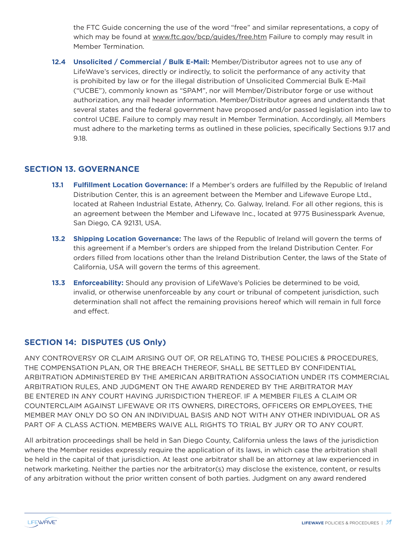the FTC Guide concerning the use of the word "free" and similar representations, a copy of which may be found at www.ftc.gov/bcp/guides/free.htm Failure to comply may result in Member Termination.

**12.4 Unsolicited / Commercial / Bulk E-Mail:** Member/Distributor agrees not to use any of LifeWave's services, directly or indirectly, to solicit the performance of any activity that is prohibited by law or for the illegal distribution of Unsolicited Commercial Bulk E-Mail ("UCBE"), commonly known as "SPAM", nor will Member/Distributor forge or use without authorization, any mail header information. Member/Distributor agrees and understands that several states and the federal government have proposed and/or passed legislation into law to control UCBE. Failure to comply may result in Member Termination. Accordingly, all Members must adhere to the marketing terms as outlined in these policies, specifically Sections 9.17 and 9.18.

### **SECTION 13. GOVERNANCE**

- **13.1 Fulfillment Location Governance:** If a Member's orders are fulfilled by the Republic of Ireland Distribution Center, this is an agreement between the Member and Lifewave Europe Ltd., located at Raheen Industrial Estate, Athenry, Co. Galway, Ireland. For all other regions, this is an agreement between the Member and Lifewave Inc., located at 9775 Businesspark Avenue, San Diego, CA 92131, USA.
- **13.2 Shipping Location Governance:** The laws of the Republic of Ireland will govern the terms of this agreement if a Member's orders are shipped from the Ireland Distribution Center. For orders filled from locations other than the Ireland Distribution Center, the laws of the State of California, USA will govern the terms of this agreement.
- **13.3 Enforceability:** Should any provision of LifeWave's Policies be determined to be void, invalid, or otherwise unenforceable by any court or tribunal of competent jurisdiction, such determination shall not affect the remaining provisions hereof which will remain in full force and effect.

### **SECTION 14: DISPUTES (US Only)**

ANY CONTROVERSY OR CLAIM ARISING OUT OF, OR RELATING TO, THESE POLICIES & PROCEDURES, THE COMPENSATION PLAN, OR THE BREACH THEREOF, SHALL BE SETTLED BY CONFIDENTIAL ARBITRATION ADMINISTERED BY THE AMERICAN ARBITRATION ASSOCIATION UNDER ITS COMMERCIAL ARBITRATION RULES, AND JUDGMENT ON THE AWARD RENDERED BY THE ARBITRATOR MAY BE ENTERED IN ANY COURT HAVING JURISDICTION THEREOF. IF A MEMBER FILES A CLAIM OR COUNTERCLAIM AGAINST LIFEWAVE OR ITS OWNERS, DIRECTORS, OFFICERS OR EMPLOYEES, THE MEMBER MAY ONLY DO SO ON AN INDIVIDUAL BASIS AND NOT WITH ANY OTHER INDIVIDUAL OR AS PART OF A CLASS ACTION. MEMBERS WAIVE ALL RIGHTS TO TRIAL BY JURY OR TO ANY COURT.

All arbitration proceedings shall be held in San Diego County, California unless the laws of the jurisdiction where the Member resides expressly require the application of its laws, in which case the arbitration shall be held in the capital of that jurisdiction. At least one arbitrator shall be an attorney at law experienced in network marketing. Neither the parties nor the arbitrator(s) may disclose the existence, content, or results of any arbitration without the prior written consent of both parties. Judgment on any award rendered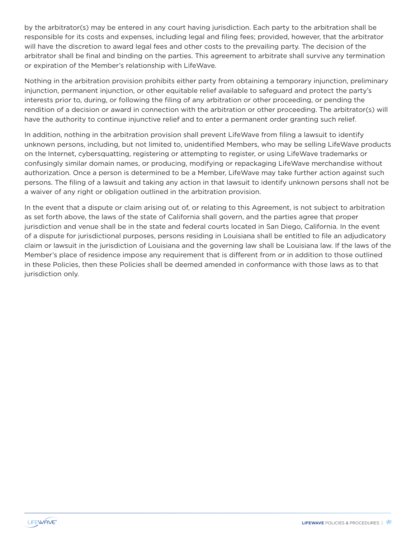by the arbitrator(s) may be entered in any court having jurisdiction. Each party to the arbitration shall be responsible for its costs and expenses, including legal and filing fees; provided, however, that the arbitrator will have the discretion to award legal fees and other costs to the prevailing party. The decision of the arbitrator shall be final and binding on the parties. This agreement to arbitrate shall survive any termination or expiration of the Member's relationship with LifeWave.

Nothing in the arbitration provision prohibits either party from obtaining a temporary injunction, preliminary injunction, permanent injunction, or other equitable relief available to safeguard and protect the party's interests prior to, during, or following the filing of any arbitration or other proceeding, or pending the rendition of a decision or award in connection with the arbitration or other proceeding. The arbitrator(s) will have the authority to continue injunctive relief and to enter a permanent order granting such relief.

In addition, nothing in the arbitration provision shall prevent LifeWave from filing a lawsuit to identify unknown persons, including, but not limited to, unidentified Members, who may be selling LifeWave products on the Internet, cybersquatting, registering or attempting to register, or using LifeWave trademarks or confusingly similar domain names, or producing, modifying or repackaging LifeWave merchandise without authorization. Once a person is determined to be a Member, LifeWave may take further action against such persons. The filing of a lawsuit and taking any action in that lawsuit to identify unknown persons shall not be a waiver of any right or obligation outlined in the arbitration provision.

In the event that a dispute or claim arising out of, or relating to this Agreement, is not subject to arbitration as set forth above, the laws of the state of California shall govern, and the parties agree that proper jurisdiction and venue shall be in the state and federal courts located in San Diego, California. In the event of a dispute for jurisdictional purposes, persons residing in Louisiana shall be entitled to file an adjudicatory claim or lawsuit in the jurisdiction of Louisiana and the governing law shall be Louisiana law. If the laws of the Member's place of residence impose any requirement that is different from or in addition to those outlined in these Policies, then these Policies shall be deemed amended in conformance with those laws as to that jurisdiction only.